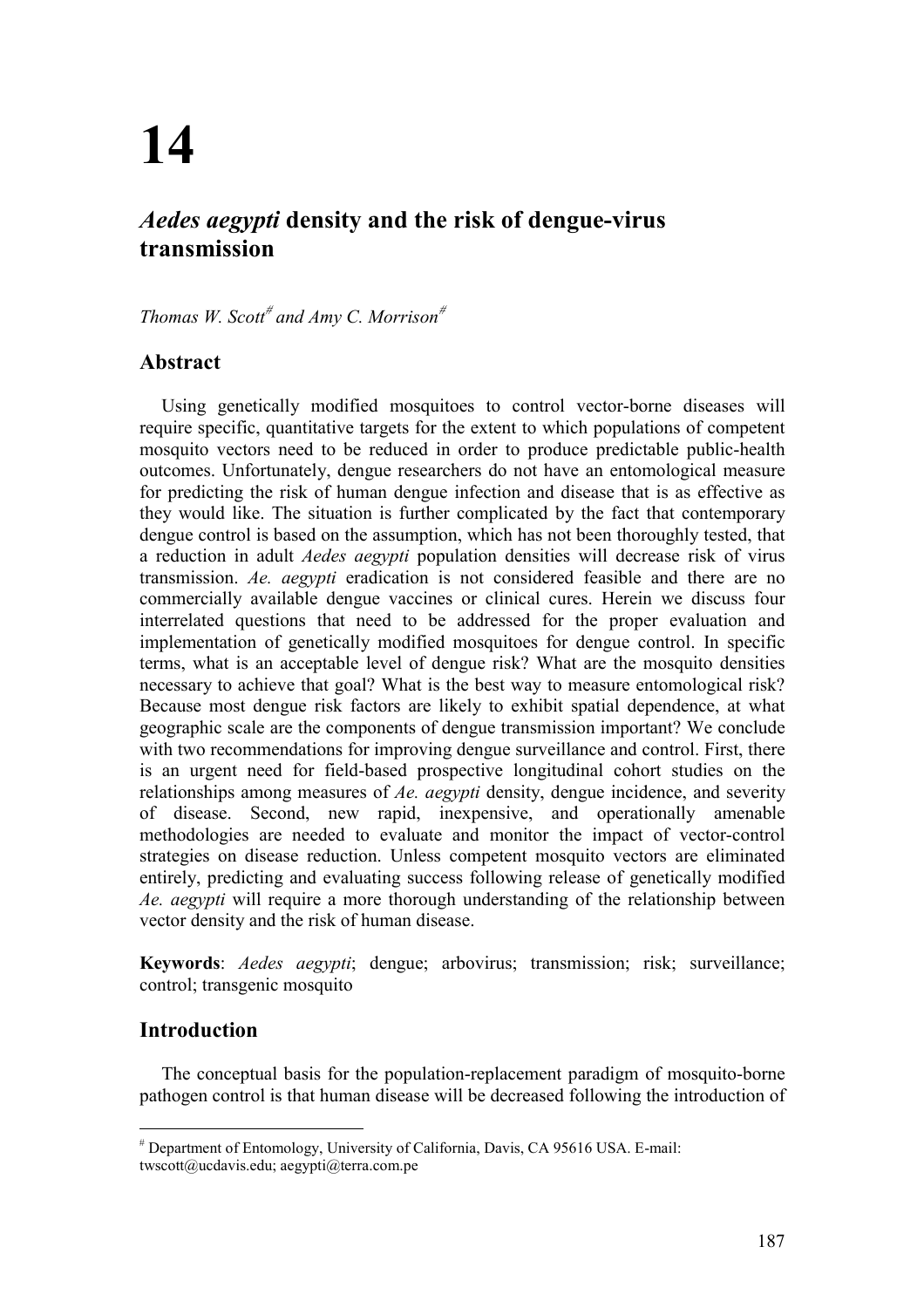# **14**

## *Aedes aegypti* **density and the risk of dengue-virus transmission**

*Thomas W. Scott and Amy C. Morrison*

## **Abstract**

Using genetically modified mosquitoes to control vector-borne diseases will require specific, quantitative targets for the extent to which populations of competent mosquito vectors need to be reduced in order to produce predictable public-health outcomes. Unfortunately, dengue researchers do not have an entomological measure for predicting the risk of human dengue infection and disease that is as effective as they would like. The situation is further complicated by the fact that contemporary dengue control is based on the assumption, which has not been thoroughly tested, that a reduction in adult *Aedes aegypti* population densities will decrease risk of virus transmission. *Ae. aegypti* eradication is not considered feasible and there are no commercially available dengue vaccines or clinical cures. Herein we discuss four interrelated questions that need to be addressed for the proper evaluation and implementation of genetically modified mosquitoes for dengue control. In specific terms, what is an acceptable level of dengue risk? What are the mosquito densities necessary to achieve that goal? What is the best way to measure entomological risk? Because most dengue risk factors are likely to exhibit spatial dependence, at what geographic scale are the components of dengue transmission important? We conclude with two recommendations for improving dengue surveillance and control. First, there is an urgent need for field-based prospective longitudinal cohort studies on the relationships among measures of *Ae. aegypti* density, dengue incidence, and severity of disease. Second, new rapid, inexpensive, and operationally amenable methodologies are needed to evaluate and monitor the impact of vector-control strategies on disease reduction. Unless competent mosquito vectors are eliminated entirely, predicting and evaluating success following release of genetically modified *Ae. aegypti* will require a more thorough understanding of the relationship between vector density and the risk of human disease.

**Keywords**: *Aedes aegypti*; dengue; arbovirus; transmission; risk; surveillance; control; transgenic mosquito

### **Introduction**

 $\overline{a}$ 

The conceptual basis for the population-replacement paradigm of mosquito-borne pathogen control is that human disease will be decreased following the introduction of

 Department of Entomology, University of California, Davis, CA 95616 USA. E-mail: twscott@ucdavis.edu; aegypti@terra.com.pe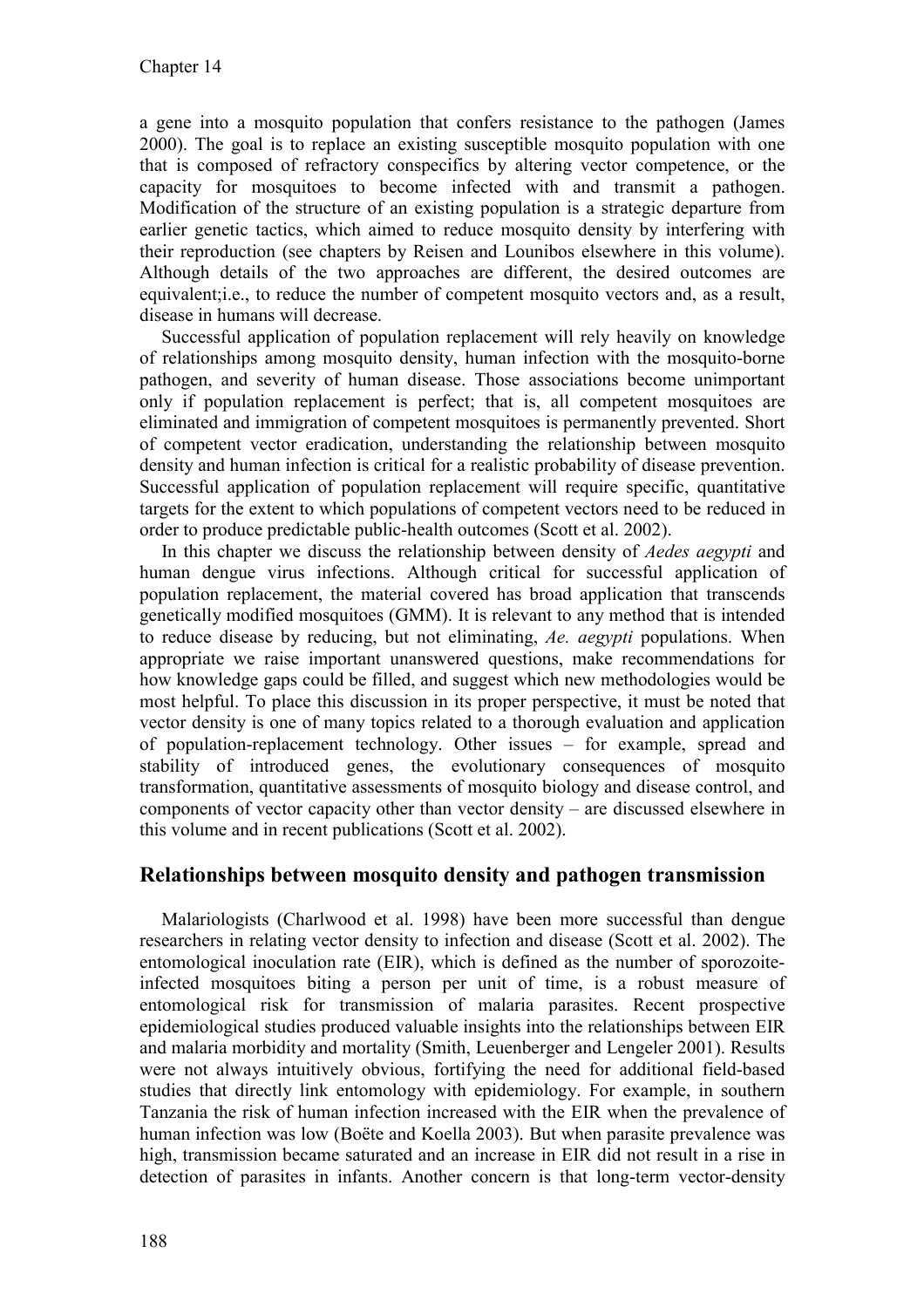a gene into a mosquito population that confers resistance to the pathogen (James 2000). The goal is to replace an existing susceptible mosquito population with one that is composed of refractory conspecifics by altering vector competence, or the capacity for mosquitoes to become infected with and transmit a pathogen. Modification of the structure of an existing population is a strategic departure from earlier genetic tactics, which aimed to reduce mosquito density by interfering with their reproduction (see chapters by Reisen and Lounibos elsewhere in this volume). Although details of the two approaches are different, the desired outcomes are equivalent;i.e., to reduce the number of competent mosquito vectors and, as a result, disease in humans will decrease.

Successful application of population replacement will rely heavily on knowledge of relationships among mosquito density, human infection with the mosquito-borne pathogen, and severity of human disease. Those associations become unimportant only if population replacement is perfect; that is, all competent mosquitoes are eliminated and immigration of competent mosquitoes is permanently prevented. Short of competent vector eradication, understanding the relationship between mosquito density and human infection is critical for a realistic probability of disease prevention. Successful application of population replacement will require specific, quantitative targets for the extent to which populations of competent vectors need to be reduced in order to produce predictable public-health outcomes (Scott et al. 2002).

In this chapter we discuss the relationship between density of *Aedes aegypti* and human dengue virus infections. Although critical for successful application of population replacement, the material covered has broad application that transcends genetically modified mosquitoes (GMM). It is relevant to any method that is intended to reduce disease by reducing, but not eliminating, *Ae. aegypti* populations. When appropriate we raise important unanswered questions, make recommendations for how knowledge gaps could be filled, and suggest which new methodologies would be most helpful. To place this discussion in its proper perspective, it must be noted that vector density is one of many topics related to a thorough evaluation and application of population-replacement technology. Other issues – for example, spread and stability of introduced genes, the evolutionary consequences of mosquito transformation, quantitative assessments of mosquito biology and disease control, and components of vector capacity other than vector density – are discussed elsewhere in this volume and in recent publications (Scott et al. 2002).

## **Relationships between mosquito density and pathogen transmission**

Malariologists (Charlwood et al. 1998) have been more successful than dengue researchers in relating vector density to infection and disease (Scott et al. 2002). The entomological inoculation rate (EIR), which is defined as the number of sporozoiteinfected mosquitoes biting a person per unit of time, is a robust measure of entomological risk for transmission of malaria parasites. Recent prospective epidemiological studies produced valuable insights into the relationships between EIR and malaria morbidity and mortality (Smith, Leuenberger and Lengeler 2001). Results were not always intuitively obvious, fortifying the need for additional field-based studies that directly link entomology with epidemiology. For example, in southern Tanzania the risk of human infection increased with the EIR when the prevalence of human infection was low (Boëte and Koella 2003). But when parasite prevalence was high, transmission became saturated and an increase in EIR did not result in a rise in detection of parasites in infants. Another concern is that long-term vector-density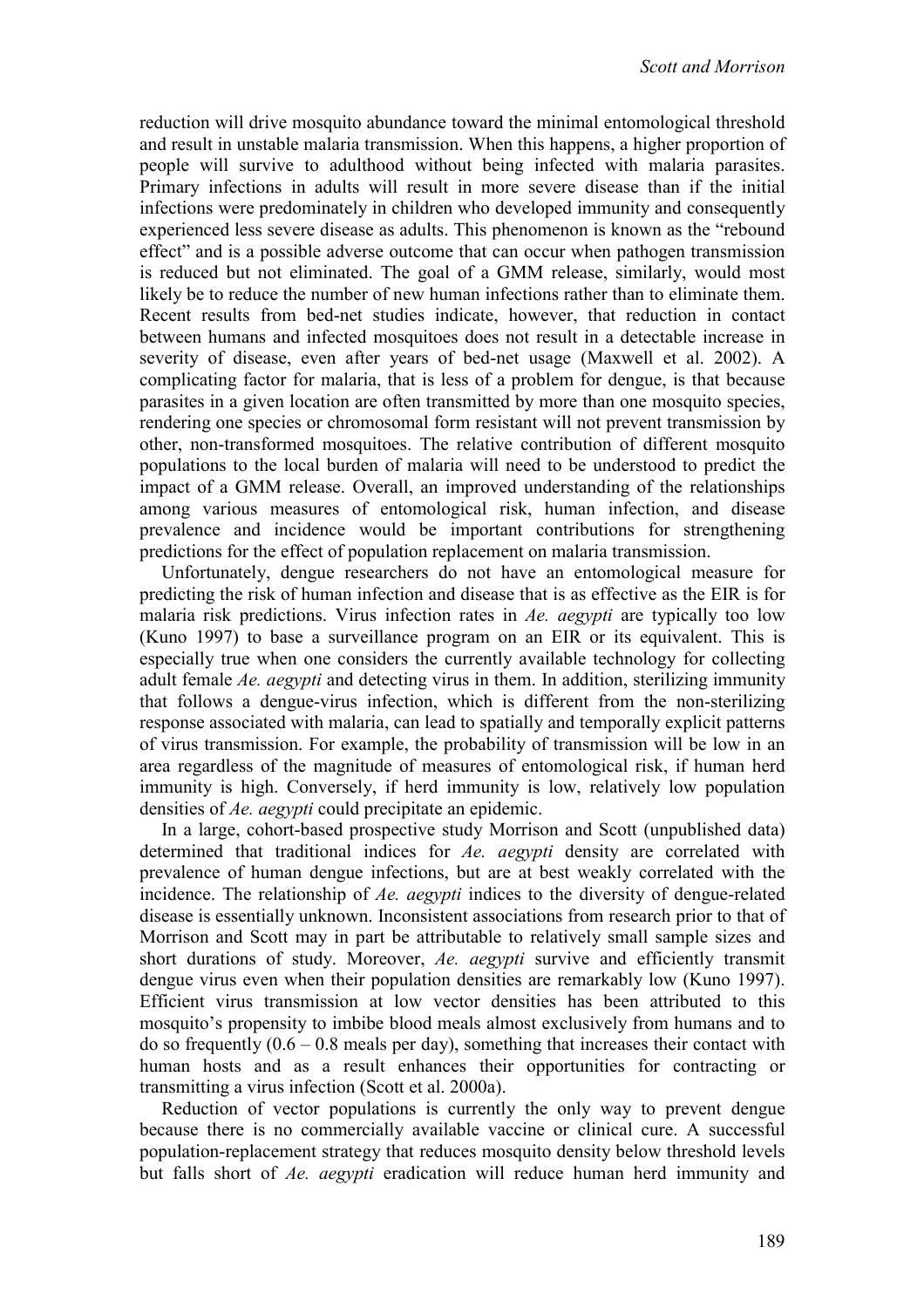reduction will drive mosquito abundance toward the minimal entomological threshold and result in unstable malaria transmission. When this happens, a higher proportion of people will survive to adulthood without being infected with malaria parasites. Primary infections in adults will result in more severe disease than if the initial infections were predominately in children who developed immunity and consequently experienced less severe disease as adults. This phenomenon is known as the "rebound effect" and is a possible adverse outcome that can occur when pathogen transmission is reduced but not eliminated. The goal of a GMM release, similarly, would most likely be to reduce the number of new human infections rather than to eliminate them. Recent results from bed-net studies indicate, however, that reduction in contact between humans and infected mosquitoes does not result in a detectable increase in severity of disease, even after years of bed-net usage (Maxwell et al. 2002). A complicating factor for malaria, that is less of a problem for dengue, is that because parasites in a given location are often transmitted by more than one mosquito species, rendering one species or chromosomal form resistant will not prevent transmission by other, non-transformed mosquitoes. The relative contribution of different mosquito populations to the local burden of malaria will need to be understood to predict the impact of a GMM release. Overall, an improved understanding of the relationships among various measures of entomological risk, human infection, and disease prevalence and incidence would be important contributions for strengthening predictions for the effect of population replacement on malaria transmission.

Unfortunately, dengue researchers do not have an entomological measure for predicting the risk of human infection and disease that is as effective as the EIR is for malaria risk predictions. Virus infection rates in *Ae. aegypti* are typically too low (Kuno 1997) to base a surveillance program on an EIR or its equivalent. This is especially true when one considers the currently available technology for collecting adult female *Ae. aegypti* and detecting virus in them. In addition, sterilizing immunity that follows a dengue-virus infection, which is different from the non-sterilizing response associated with malaria, can lead to spatially and temporally explicit patterns of virus transmission. For example, the probability of transmission will be low in an area regardless of the magnitude of measures of entomological risk, if human herd immunity is high. Conversely, if herd immunity is low, relatively low population densities of *Ae. aegypti* could precipitate an epidemic.

In a large, cohort-based prospective study Morrison and Scott (unpublished data) determined that traditional indices for *Ae. aegypti* density are correlated with prevalence of human dengue infections, but are at best weakly correlated with the incidence. The relationship of *Ae. aegypti* indices to the diversity of dengue-related disease is essentially unknown. Inconsistent associations from research prior to that of Morrison and Scott may in part be attributable to relatively small sample sizes and short durations of study. Moreover, *Ae. aegypti* survive and efficiently transmit dengue virus even when their population densities are remarkably low (Kuno 1997). Efficient virus transmission at low vector densities has been attributed to this mosquito's propensity to imbibe blood meals almost exclusively from humans and to do so frequently  $(0.6 - 0.8 \text{ meals per day})$ , something that increases their contact with human hosts and as a result enhances their opportunities for contracting or transmitting a virus infection (Scott et al. 2000a).

Reduction of vector populations is currently the only way to prevent dengue because there is no commercially available vaccine or clinical cure. A successful population-replacement strategy that reduces mosquito density below threshold levels but falls short of *Ae. aegypti* eradication will reduce human herd immunity and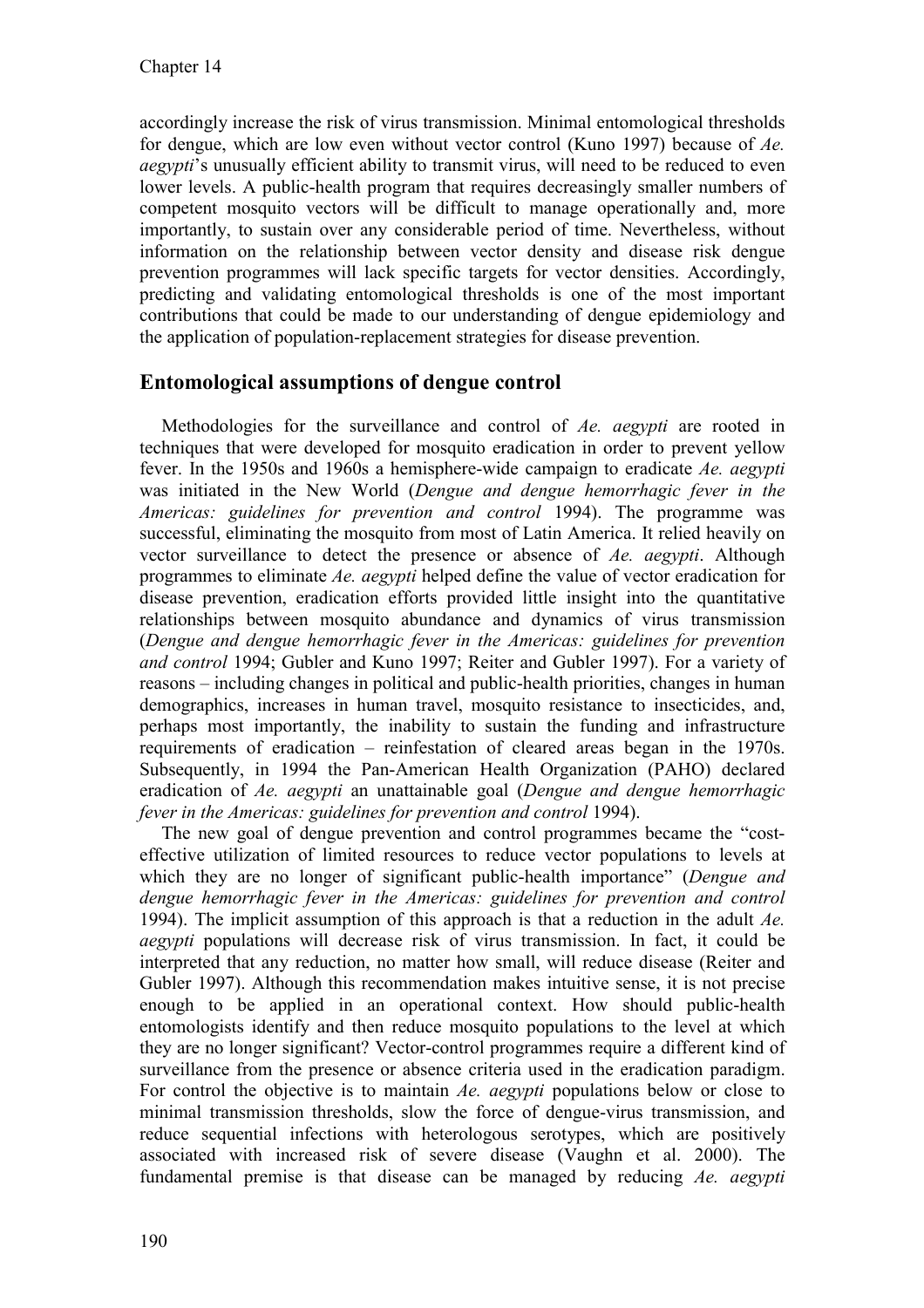accordingly increase the risk of virus transmission. Minimal entomological thresholds for dengue, which are low even without vector control (Kuno 1997) because of *Ae. aegypti*'s unusually efficient ability to transmit virus, will need to be reduced to even lower levels. A public-health program that requires decreasingly smaller numbers of competent mosquito vectors will be difficult to manage operationally and, more importantly, to sustain over any considerable period of time. Nevertheless, without information on the relationship between vector density and disease risk dengue prevention programmes will lack specific targets for vector densities. Accordingly, predicting and validating entomological thresholds is one of the most important contributions that could be made to our understanding of dengue epidemiology and the application of population-replacement strategies for disease prevention.

## **Entomological assumptions of dengue control**

Methodologies for the surveillance and control of *Ae. aegypti* are rooted in techniques that were developed for mosquito eradication in order to prevent yellow fever. In the 1950s and 1960s a hemisphere-wide campaign to eradicate *Ae. aegypti* was initiated in the New World (*Dengue and dengue hemorrhagic fever in the Americas: guidelines for prevention and control* 1994). The programme was successful, eliminating the mosquito from most of Latin America. It relied heavily on vector surveillance to detect the presence or absence of *Ae. aegypti*. Although programmes to eliminate *Ae. aegypti* helped define the value of vector eradication for disease prevention, eradication efforts provided little insight into the quantitative relationships between mosquito abundance and dynamics of virus transmission (*Dengue and dengue hemorrhagic fever in the Americas: guidelines for prevention and control* 1994; Gubler and Kuno 1997; Reiter and Gubler 1997). For a variety of reasons – including changes in political and public-health priorities, changes in human demographics, increases in human travel, mosquito resistance to insecticides, and, perhaps most importantly, the inability to sustain the funding and infrastructure requirements of eradication – reinfestation of cleared areas began in the 1970s. Subsequently, in 1994 the Pan-American Health Organization (PAHO) declared eradication of *Ae. aegypti* an unattainable goal (*Dengue and dengue hemorrhagic fever in the Americas: guidelines for prevention and control* 1994).

The new goal of dengue prevention and control programmes became the "costeffective utilization of limited resources to reduce vector populations to levels at which they are no longer of significant public-health importance" (*Dengue and dengue hemorrhagic fever in the Americas: guidelines for prevention and control* 1994). The implicit assumption of this approach is that a reduction in the adult *Ae. aegypti* populations will decrease risk of virus transmission. In fact, it could be interpreted that any reduction, no matter how small, will reduce disease (Reiter and Gubler 1997). Although this recommendation makes intuitive sense, it is not precise enough to be applied in an operational context. How should public-health entomologists identify and then reduce mosquito populations to the level at which they are no longer significant? Vector-control programmes require a different kind of surveillance from the presence or absence criteria used in the eradication paradigm. For control the objective is to maintain *Ae. aegypti* populations below or close to minimal transmission thresholds, slow the force of dengue-virus transmission, and reduce sequential infections with heterologous serotypes, which are positively associated with increased risk of severe disease (Vaughn et al. 2000). The fundamental premise is that disease can be managed by reducing *Ae. aegypti*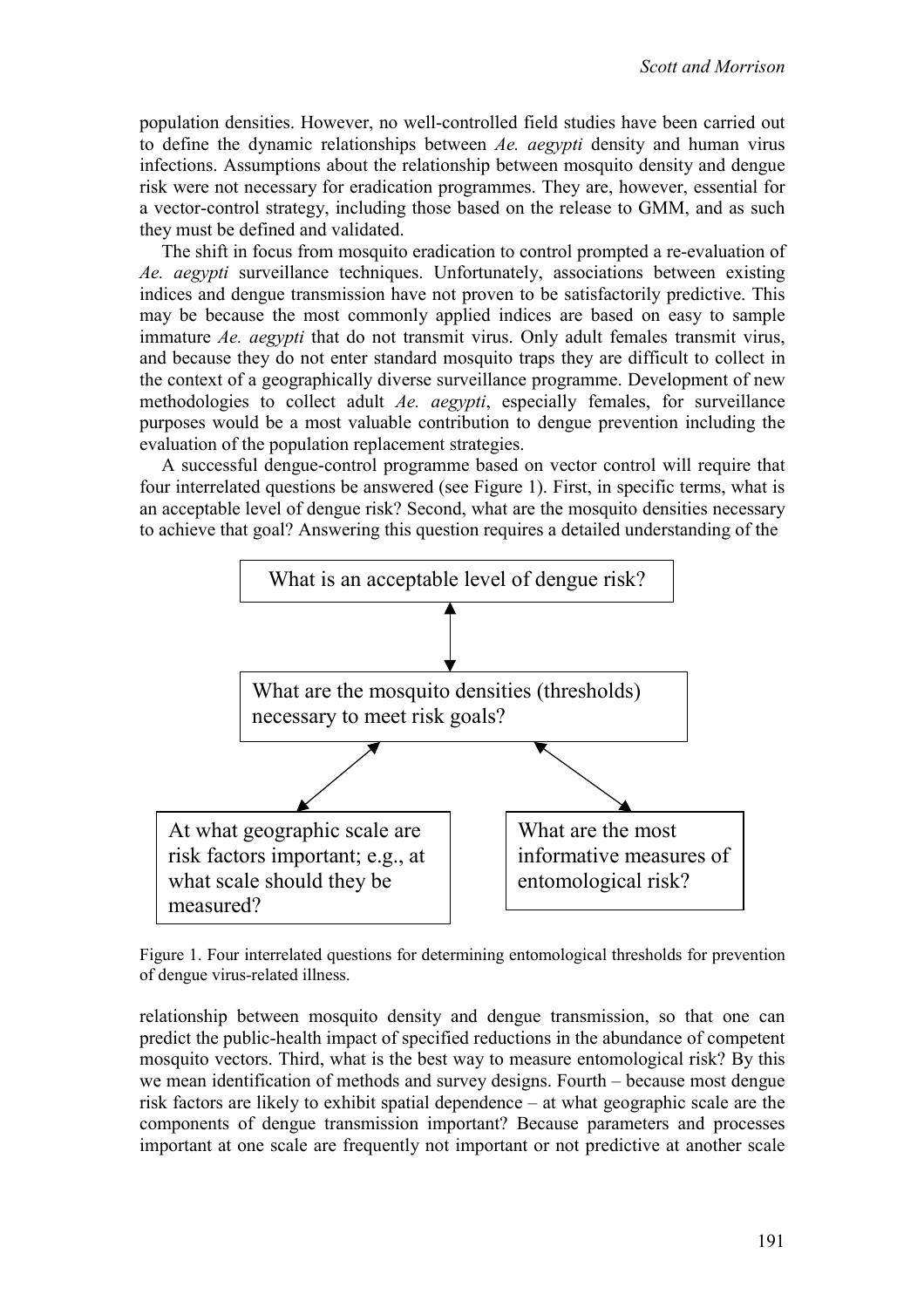population densities. However, no well-controlled field studies have been carried out to define the dynamic relationships between *Ae. aegypti* density and human virus infections. Assumptions about the relationship between mosquito density and dengue risk were not necessary for eradication programmes. They are, however, essential for a vector-control strategy, including those based on the release to GMM, and as such they must be defined and validated.

The shift in focus from mosquito eradication to control prompted a re-evaluation of *Ae. aegypti* surveillance techniques. Unfortunately, associations between existing indices and dengue transmission have not proven to be satisfactorily predictive. This may be because the most commonly applied indices are based on easy to sample immature *Ae. aegypti* that do not transmit virus. Only adult females transmit virus, and because they do not enter standard mosquito traps they are difficult to collect in the context of a geographically diverse surveillance programme. Development of new methodologies to collect adult *Ae. aegypti*, especially females, for surveillance purposes would be a most valuable contribution to dengue prevention including the evaluation of the population replacement strategies.

A successful dengue-control programme based on vector control will require that four interrelated questions be answered (see Figure 1). First, in specific terms, what is an acceptable level of dengue risk? Second, what are the mosquito densities necessary to achieve that goal? Answering this question requires a detailed understanding of the



Figure 1. Four interrelated questions for determining entomological thresholds for prevention of dengue virus-related illness.

relationship between mosquito density and dengue transmission, so that one can predict the public-health impact of specified reductions in the abundance of competent mosquito vectors. Third, what is the best way to measure entomological risk? By this we mean identification of methods and survey designs. Fourth – because most dengue risk factors are likely to exhibit spatial dependence – at what geographic scale are the components of dengue transmission important? Because parameters and processes important at one scale are frequently not important or not predictive at another scale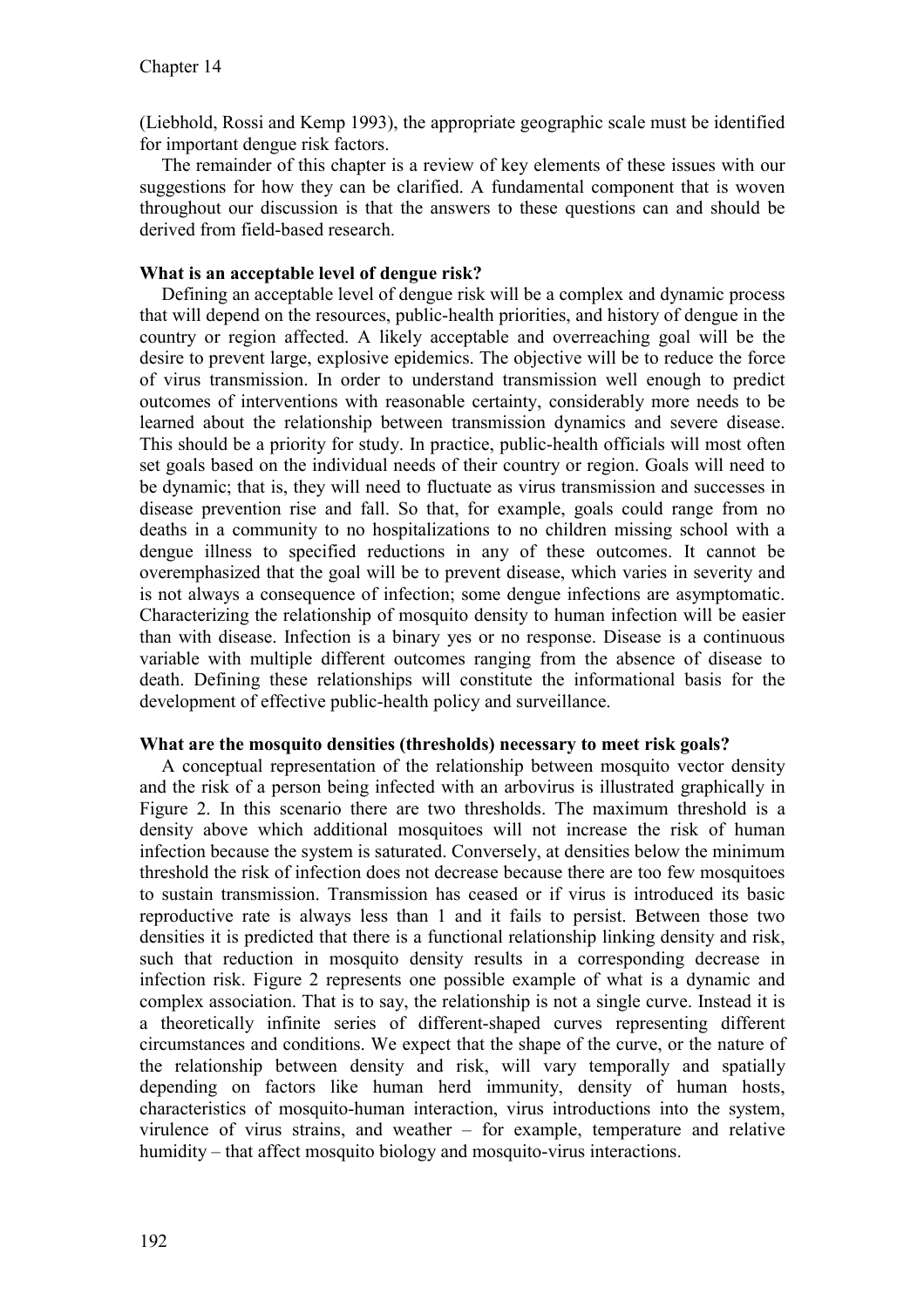(Liebhold, Rossi and Kemp 1993), the appropriate geographic scale must be identified for important dengue risk factors.

The remainder of this chapter is a review of key elements of these issues with our suggestions for how they can be clarified. A fundamental component that is woven throughout our discussion is that the answers to these questions can and should be derived from field-based research.

#### **What is an acceptable level of dengue risk?**

Defining an acceptable level of dengue risk will be a complex and dynamic process that will depend on the resources, public-health priorities, and history of dengue in the country or region affected. A likely acceptable and overreaching goal will be the desire to prevent large, explosive epidemics. The objective will be to reduce the force of virus transmission. In order to understand transmission well enough to predict outcomes of interventions with reasonable certainty, considerably more needs to be learned about the relationship between transmission dynamics and severe disease. This should be a priority for study. In practice, public-health officials will most often set goals based on the individual needs of their country or region. Goals will need to be dynamic; that is, they will need to fluctuate as virus transmission and successes in disease prevention rise and fall. So that, for example, goals could range from no deaths in a community to no hospitalizations to no children missing school with a dengue illness to specified reductions in any of these outcomes. It cannot be overemphasized that the goal will be to prevent disease, which varies in severity and is not always a consequence of infection; some dengue infections are asymptomatic. Characterizing the relationship of mosquito density to human infection will be easier than with disease. Infection is a binary yes or no response. Disease is a continuous variable with multiple different outcomes ranging from the absence of disease to death. Defining these relationships will constitute the informational basis for the development of effective public-health policy and surveillance.

#### **What are the mosquito densities (thresholds) necessary to meet risk goals?**

A conceptual representation of the relationship between mosquito vector density and the risk of a person being infected with an arbovirus is illustrated graphically in Figure 2. In this scenario there are two thresholds. The maximum threshold is a density above which additional mosquitoes will not increase the risk of human infection because the system is saturated. Conversely, at densities below the minimum threshold the risk of infection does not decrease because there are too few mosquitoes to sustain transmission. Transmission has ceased or if virus is introduced its basic reproductive rate is always less than 1 and it fails to persist. Between those two densities it is predicted that there is a functional relationship linking density and risk, such that reduction in mosquito density results in a corresponding decrease in infection risk. Figure 2 represents one possible example of what is a dynamic and complex association. That is to say, the relationship is not a single curve. Instead it is a theoretically infinite series of different-shaped curves representing different circumstances and conditions. We expect that the shape of the curve, or the nature of the relationship between density and risk, will vary temporally and spatially depending on factors like human herd immunity, density of human hosts, characteristics of mosquito-human interaction, virus introductions into the system, virulence of virus strains, and weather – for example, temperature and relative humidity – that affect mosquito biology and mosquito-virus interactions.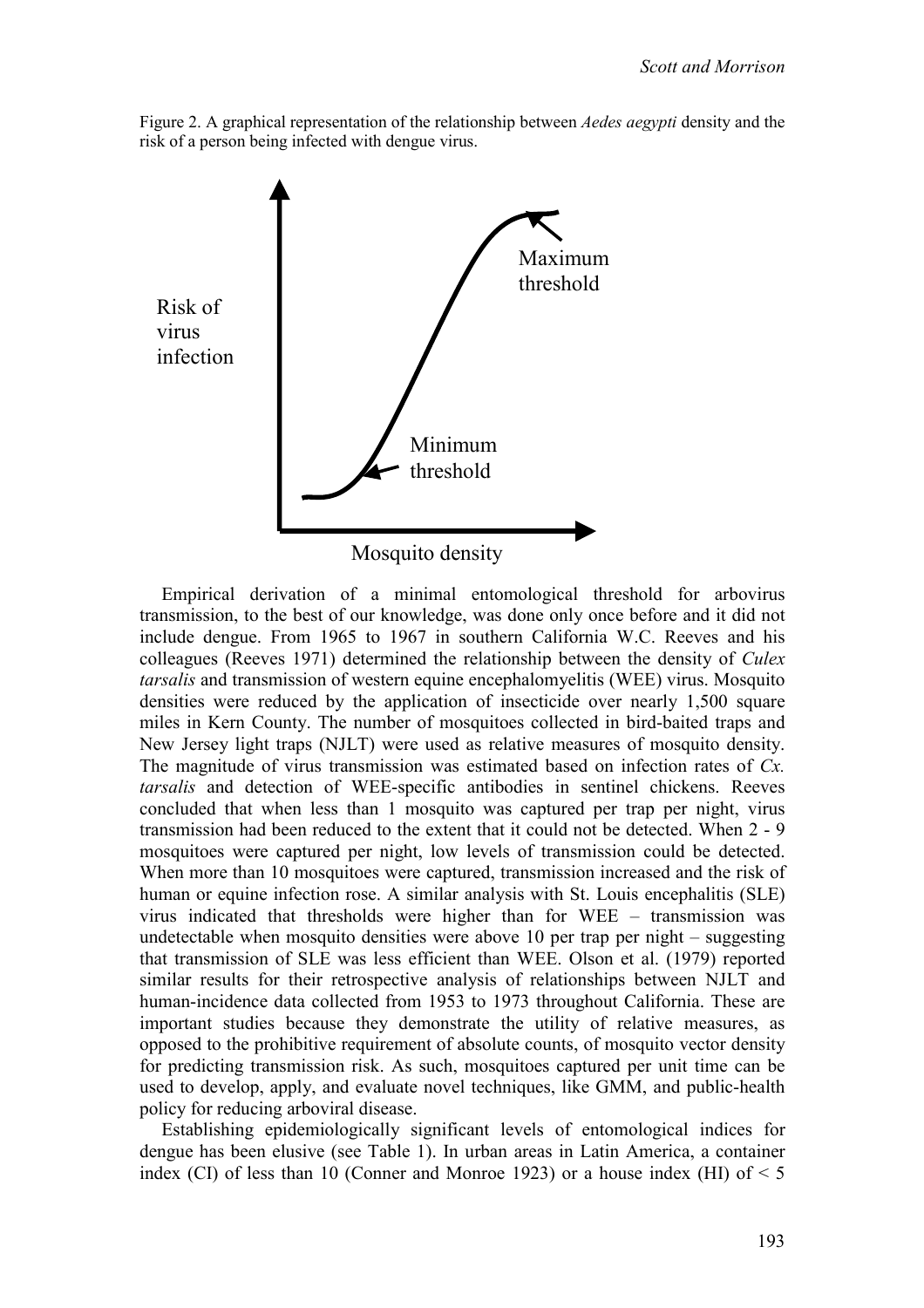



Mosquito density

Empirical derivation of a minimal entomological threshold for arbovirus transmission, to the best of our knowledge, was done only once before and it did not include dengue. From 1965 to 1967 in southern California W.C. Reeves and his colleagues (Reeves 1971) determined the relationship between the density of *Culex tarsalis* and transmission of western equine encephalomyelitis (WEE) virus. Mosquito densities were reduced by the application of insecticide over nearly 1,500 square miles in Kern County. The number of mosquitoes collected in bird-baited traps and New Jersey light traps (NJLT) were used as relative measures of mosquito density. The magnitude of virus transmission was estimated based on infection rates of *Cx. tarsalis* and detection of WEE-specific antibodies in sentinel chickens. Reeves concluded that when less than 1 mosquito was captured per trap per night, virus transmission had been reduced to the extent that it could not be detected. When 2 - 9 mosquitoes were captured per night, low levels of transmission could be detected. When more than 10 mosquitoes were captured, transmission increased and the risk of human or equine infection rose. A similar analysis with St. Louis encephalitis (SLE) virus indicated that thresholds were higher than for WEE – transmission was undetectable when mosquito densities were above 10 per trap per night – suggesting that transmission of SLE was less efficient than WEE. Olson et al. (1979) reported similar results for their retrospective analysis of relationships between NJLT and human-incidence data collected from 1953 to 1973 throughout California. These are important studies because they demonstrate the utility of relative measures, as opposed to the prohibitive requirement of absolute counts, of mosquito vector density for predicting transmission risk. As such, mosquitoes captured per unit time can be used to develop, apply, and evaluate novel techniques, like GMM, and public-health policy for reducing arboviral disease.

Establishing epidemiologically significant levels of entomological indices for dengue has been elusive (see Table 1). In urban areas in Latin America, a container index (CI) of less than 10 (Conner and Monroe 1923) or a house index (HI) of  $\leq 5$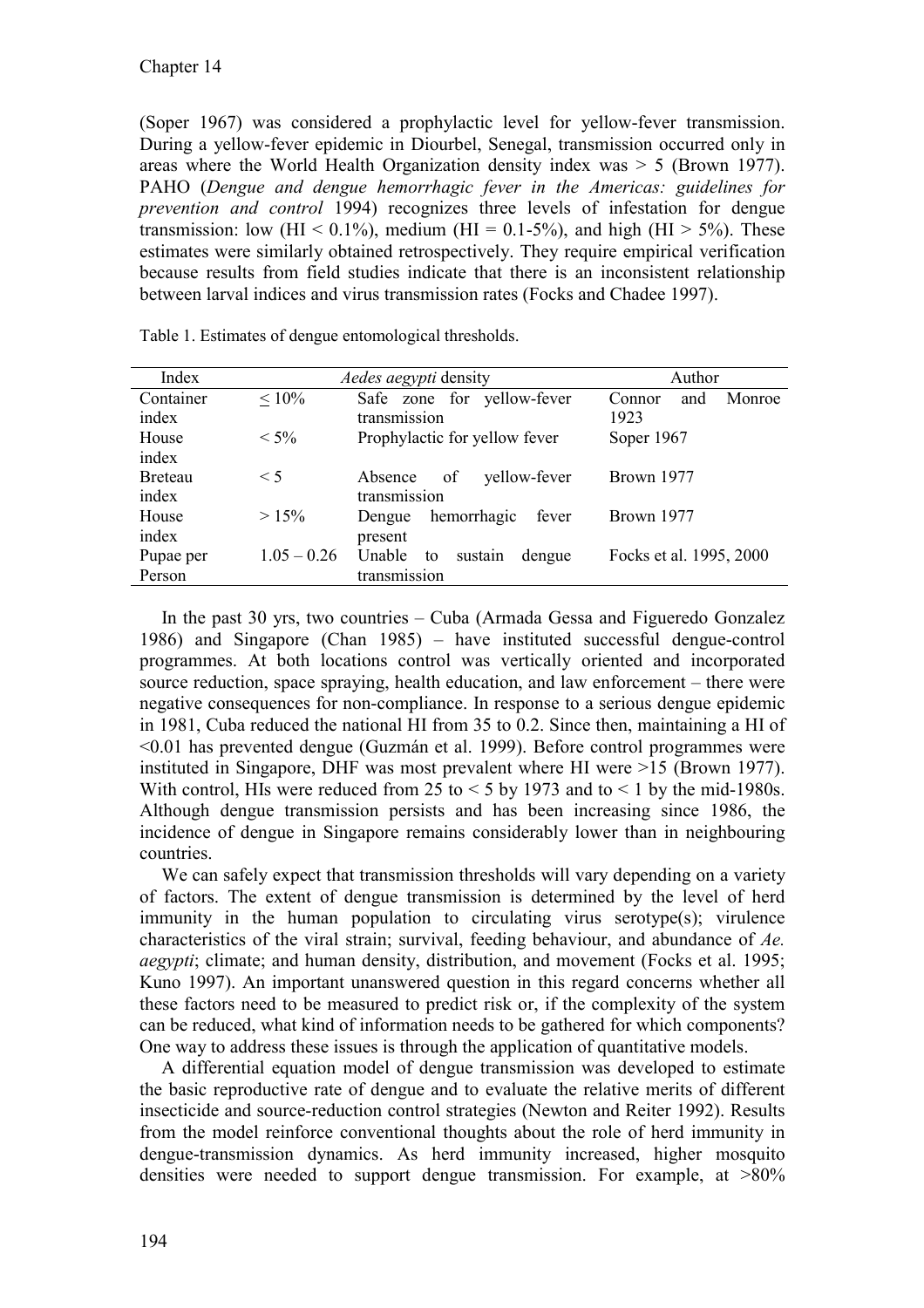(Soper 1967) was considered a prophylactic level for yellow-fever transmission. During a yellow-fever epidemic in Diourbel, Senegal, transmission occurred only in areas where the World Health Organization density index was > 5 (Brown 1977). PAHO (*Dengue and dengue hemorrhagic fever in the Americas: guidelines for prevention and control* 1994) recognizes three levels of infestation for dengue transmission: low (HI <  $0.1\%$ ), medium (HI =  $0.1-5\%$ ), and high (HI > 5%). These estimates were similarly obtained retrospectively. They require empirical verification because results from field studies indicate that there is an inconsistent relationship between larval indices and virus transmission rates (Focks and Chadee 1997).

| Index          |               | <i>Aedes aegypti</i> density      | Author                  |
|----------------|---------------|-----------------------------------|-------------------------|
| Container      | $< 10\%$      | Safe zone for yellow-fever        | Monroe<br>Connor<br>and |
| index          |               | transmission                      | 1923                    |
| House          | $< 5\%$       | Prophylactic for yellow fever     | Soper 1967              |
| index          |               |                                   |                         |
| <b>Breteau</b> | $\leq 5$      | yellow-fever<br>of<br>Absence     | Brown 1977              |
| index          |               | transmission                      |                         |
| House          | >15%          | hemorrhagic<br>fever<br>Dengue    | Brown 1977              |
| index          |               | present                           |                         |
| Pupae per      | $1.05 - 0.26$ | Unable<br>dengue<br>sustain<br>to | Focks et al. 1995, 2000 |
| Person         |               | transmission                      |                         |

Table 1. Estimates of dengue entomological thresholds.

In the past 30 yrs, two countries – Cuba (Armada Gessa and Figueredo Gonzalez 1986) and Singapore (Chan 1985) – have instituted successful dengue-control programmes. At both locations control was vertically oriented and incorporated source reduction, space spraying, health education, and law enforcement – there were negative consequences for non-compliance. In response to a serious dengue epidemic in 1981, Cuba reduced the national HI from 35 to 0.2. Since then, maintaining a HI of <0.01 has prevented dengue (Guzmán et al. 1999). Before control programmes were instituted in Singapore, DHF was most prevalent where HI were >15 (Brown 1977). With control, HIs were reduced from 25 to  $\leq$  5 by 1973 and to  $\leq$  1 by the mid-1980s. Although dengue transmission persists and has been increasing since 1986, the incidence of dengue in Singapore remains considerably lower than in neighbouring countries.

We can safely expect that transmission thresholds will vary depending on a variety of factors. The extent of dengue transmission is determined by the level of herd immunity in the human population to circulating virus serotype(s); virulence characteristics of the viral strain; survival, feeding behaviour, and abundance of *Ae. aegypti*; climate; and human density, distribution, and movement (Focks et al. 1995; Kuno 1997). An important unanswered question in this regard concerns whether all these factors need to be measured to predict risk or, if the complexity of the system can be reduced, what kind of information needs to be gathered for which components? One way to address these issues is through the application of quantitative models.

A differential equation model of dengue transmission was developed to estimate the basic reproductive rate of dengue and to evaluate the relative merits of different insecticide and source-reduction control strategies (Newton and Reiter 1992). Results from the model reinforce conventional thoughts about the role of herd immunity in dengue-transmission dynamics. As herd immunity increased, higher mosquito densities were needed to support dengue transmission. For example, at >80%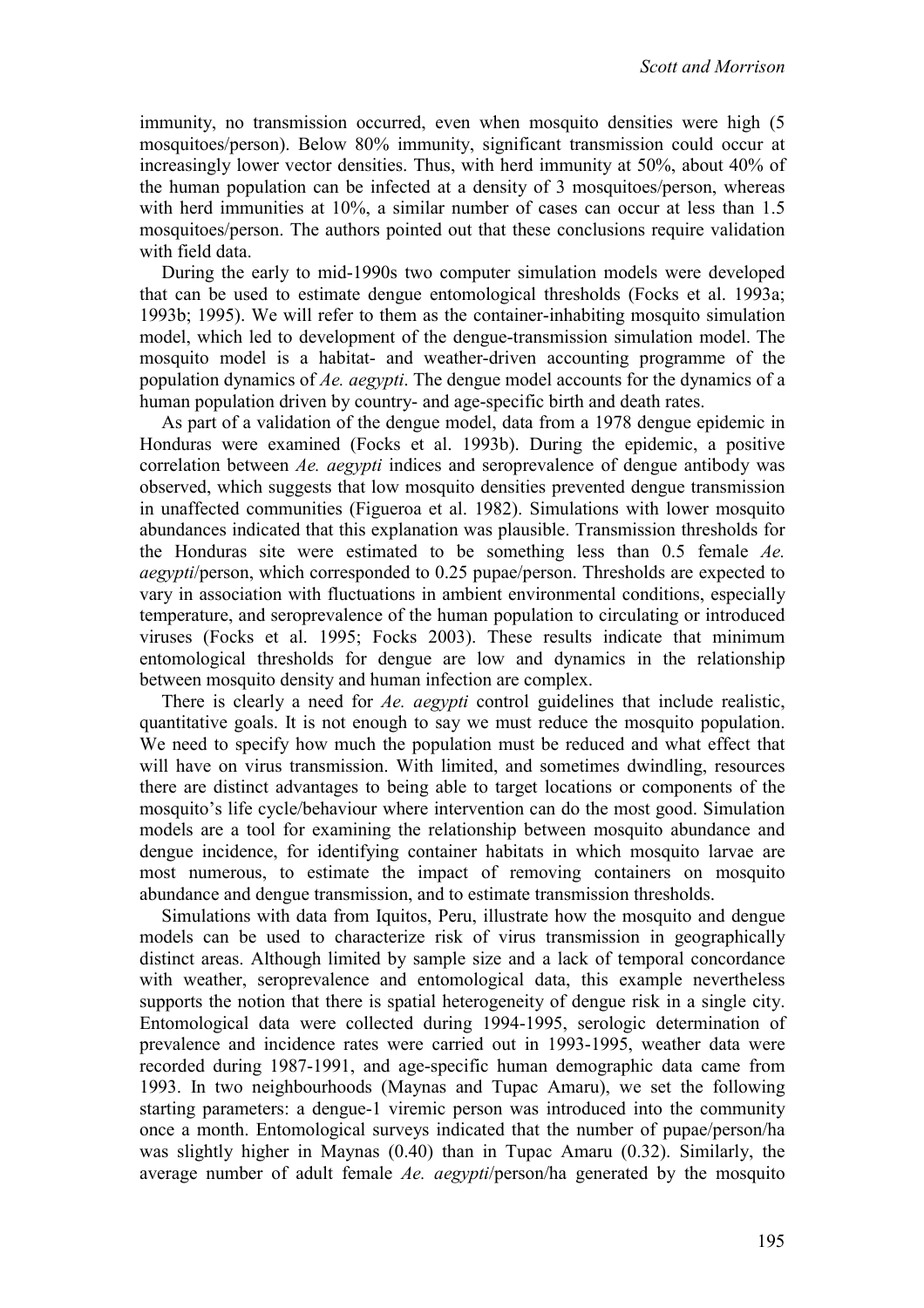immunity, no transmission occurred, even when mosquito densities were high (5) mosquitoes/person). Below 80% immunity, significant transmission could occur at increasingly lower vector densities. Thus, with herd immunity at 50%, about 40% of the human population can be infected at a density of 3 mosquitoes/person, whereas with herd immunities at 10%, a similar number of cases can occur at less than 1.5 mosquitoes/person. The authors pointed out that these conclusions require validation with field data.

During the early to mid-1990s two computer simulation models were developed that can be used to estimate dengue entomological thresholds (Focks et al. 1993a; 1993b; 1995). We will refer to them as the container-inhabiting mosquito simulation model, which led to development of the dengue-transmission simulation model. The mosquito model is a habitat- and weather-driven accounting programme of the population dynamics of *Ae. aegypti*. The dengue model accounts for the dynamics of a human population driven by country- and age-specific birth and death rates.

As part of a validation of the dengue model, data from a 1978 dengue epidemic in Honduras were examined (Focks et al. 1993b). During the epidemic, a positive correlation between *Ae. aegypti* indices and seroprevalence of dengue antibody was observed, which suggests that low mosquito densities prevented dengue transmission in unaffected communities (Figueroa et al. 1982). Simulations with lower mosquito abundances indicated that this explanation was plausible. Transmission thresholds for the Honduras site were estimated to be something less than 0.5 female *Ae. aegypti*/person, which corresponded to 0.25 pupae/person. Thresholds are expected to vary in association with fluctuations in ambient environmental conditions, especially temperature, and seroprevalence of the human population to circulating or introduced viruses (Focks et al. 1995; Focks 2003). These results indicate that minimum entomological thresholds for dengue are low and dynamics in the relationship between mosquito density and human infection are complex.

There is clearly a need for *Ae. aegypti* control guidelines that include realistic, quantitative goals. It is not enough to say we must reduce the mosquito population. We need to specify how much the population must be reduced and what effect that will have on virus transmission. With limited, and sometimes dwindling, resources there are distinct advantages to being able to target locations or components of the mosquito's life cycle/behaviour where intervention can do the most good. Simulation models are a tool for examining the relationship between mosquito abundance and dengue incidence, for identifying container habitats in which mosquito larvae are most numerous, to estimate the impact of removing containers on mosquito abundance and dengue transmission, and to estimate transmission thresholds.

Simulations with data from Iquitos, Peru, illustrate how the mosquito and dengue models can be used to characterize risk of virus transmission in geographically distinct areas. Although limited by sample size and a lack of temporal concordance with weather, seroprevalence and entomological data, this example nevertheless supports the notion that there is spatial heterogeneity of dengue risk in a single city. Entomological data were collected during 1994-1995, serologic determination of prevalence and incidence rates were carried out in 1993-1995, weather data were recorded during 1987-1991, and age-specific human demographic data came from 1993. In two neighbourhoods (Maynas and Tupac Amaru), we set the following starting parameters: a dengue-1 viremic person was introduced into the community once a month. Entomological surveys indicated that the number of pupae/person/ha was slightly higher in Maynas (0.40) than in Tupac Amaru (0.32). Similarly, the average number of adult female *Ae. aegypti*/person/ha generated by the mosquito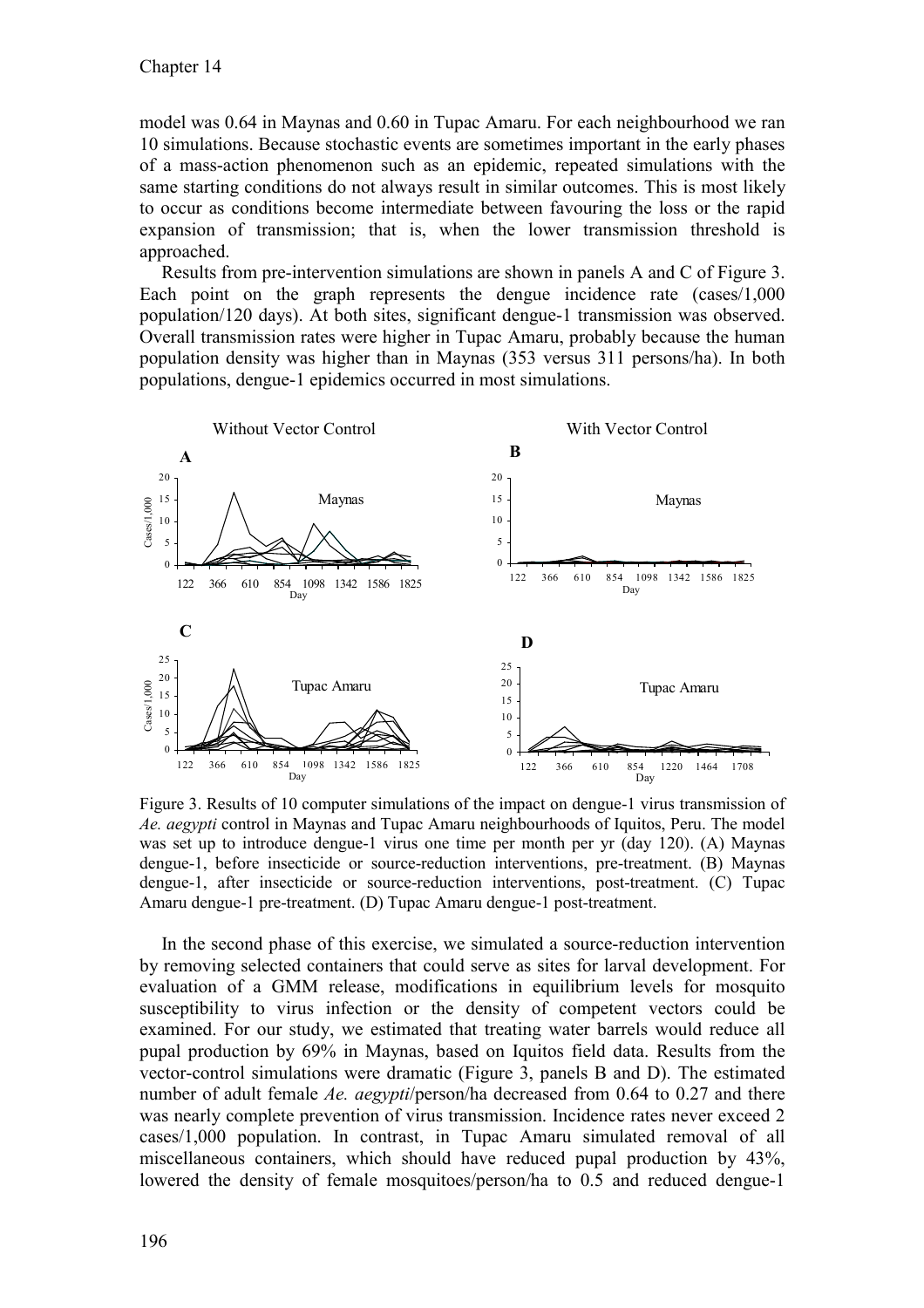model was 0.64 in Maynas and 0.60 in Tupac Amaru. For each neighbourhood we ran 10 simulations. Because stochastic events are sometimes important in the early phases of a mass-action phenomenon such as an epidemic, repeated simulations with the same starting conditions do not always result in similar outcomes. This is most likely to occur as conditions become intermediate between favouring the loss or the rapid expansion of transmission; that is, when the lower transmission threshold is approached.

Results from pre-intervention simulations are shown in panels A and C of Figure 3. Each point on the graph represents the dengue incidence rate (cases/1,000 population/120 days). At both sites, significant dengue-1 transmission was observed. Overall transmission rates were higher in Tupac Amaru, probably because the human population density was higher than in Maynas (353 versus 311 persons/ha). In both populations, dengue-1 epidemics occurred in most simulations.



Figure 3. Results of 10 computer simulations of the impact on dengue-1 virus transmission of *Ae. aegypti* control in Maynas and Tupac Amaru neighbourhoods of Iquitos, Peru. The model was set up to introduce dengue-1 virus one time per month per yr (day 120). (A) Maynas dengue-1, before insecticide or source-reduction interventions, pre-treatment. (B) Maynas dengue-1, after insecticide or source-reduction interventions, post-treatment. (C) Tupac Amaru dengue-1 pre-treatment. (D) Tupac Amaru dengue-1 post-treatment.

In the second phase of this exercise, we simulated a source-reduction intervention by removing selected containers that could serve as sites for larval development. For evaluation of a GMM release, modifications in equilibrium levels for mosquito susceptibility to virus infection or the density of competent vectors could be examined. For our study, we estimated that treating water barrels would reduce all pupal production by 69% in Maynas, based on Iquitos field data. Results from the vector-control simulations were dramatic (Figure 3, panels B and D). The estimated number of adult female *Ae. aegypti*/person/ha decreased from 0.64 to 0.27 and there was nearly complete prevention of virus transmission. Incidence rates never exceed 2 cases/1,000 population. In contrast, in Tupac Amaru simulated removal of all miscellaneous containers, which should have reduced pupal production by 43%, lowered the density of female mosquitoes/person/ha to 0.5 and reduced dengue-1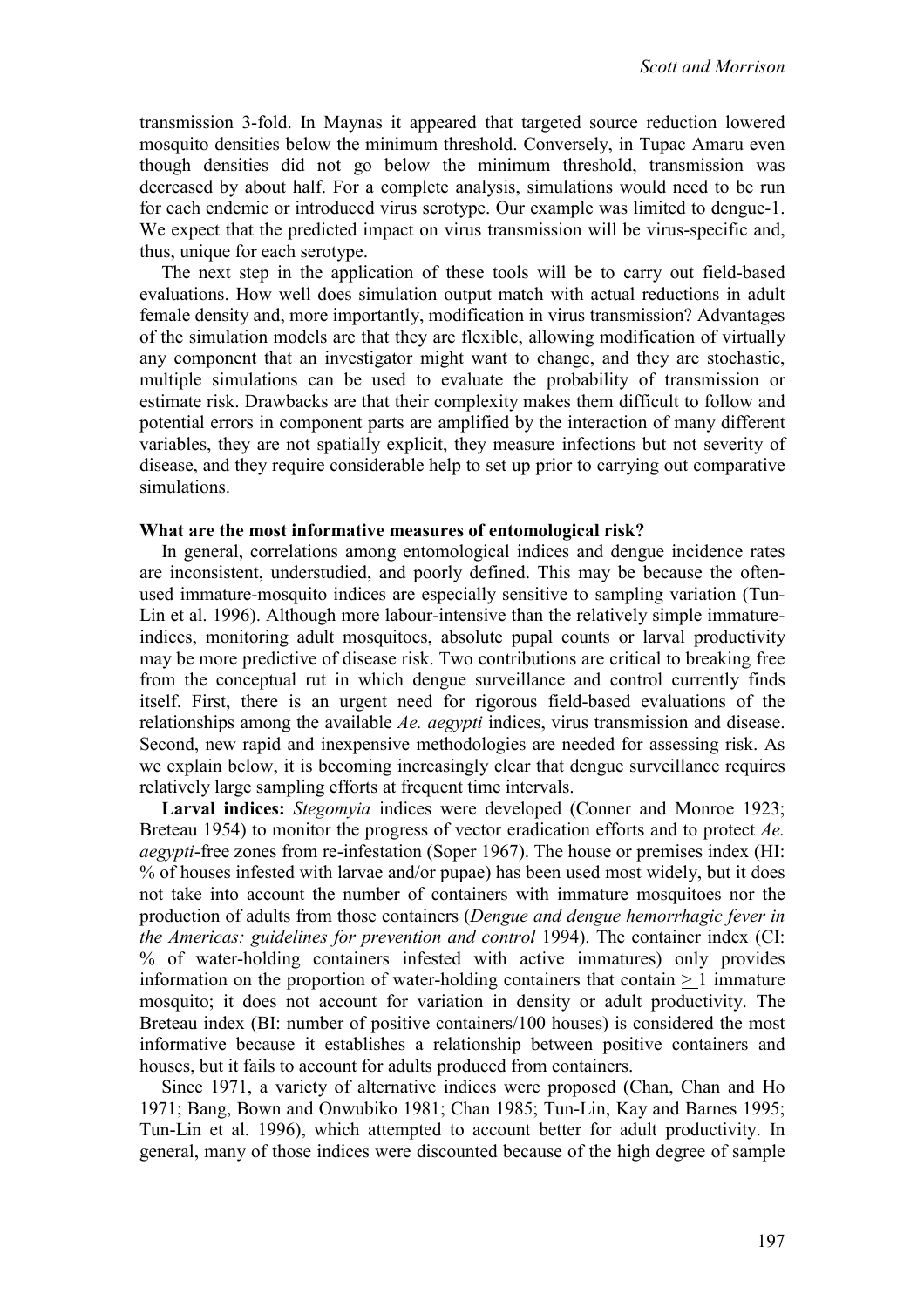transmission 3-fold. In Maynas it appeared that targeted source reduction lowered mosquito densities below the minimum threshold. Conversely, in Tupac Amaru even though densities did not go below the minimum threshold, transmission was decreased by about half. For a complete analysis, simulations would need to be run for each endemic or introduced virus serotype. Our example was limited to dengue-1. We expect that the predicted impact on virus transmission will be virus-specific and, thus, unique for each serotype.

The next step in the application of these tools will be to carry out field-based evaluations. How well does simulation output match with actual reductions in adult female density and, more importantly, modification in virus transmission? Advantages of the simulation models are that they are flexible, allowing modification of virtually any component that an investigator might want to change, and they are stochastic, multiple simulations can be used to evaluate the probability of transmission or estimate risk. Drawbacks are that their complexity makes them difficult to follow and potential errors in component parts are amplified by the interaction of many different variables, they are not spatially explicit, they measure infections but not severity of disease, and they require considerable help to set up prior to carrying out comparative simulations.

#### **What are the most informative measures of entomological risk?**

In general, correlations among entomological indices and dengue incidence rates are inconsistent, understudied, and poorly defined. This may be because the oftenused immature-mosquito indices are especially sensitive to sampling variation (Tun-Lin et al. 1996). Although more labour-intensive than the relatively simple immatureindices, monitoring adult mosquitoes, absolute pupal counts or larval productivity may be more predictive of disease risk. Two contributions are critical to breaking free from the conceptual rut in which dengue surveillance and control currently finds itself. First, there is an urgent need for rigorous field-based evaluations of the relationships among the available *Ae. aegypti* indices, virus transmission and disease. Second, new rapid and inexpensive methodologies are needed for assessing risk. As we explain below, it is becoming increasingly clear that dengue surveillance requires relatively large sampling efforts at frequent time intervals.

**Larval indices:** *Stegomyia* indices were developed (Conner and Monroe 1923; Breteau 1954) to monitor the progress of vector eradication efforts and to protect *Ae. aegypti*-free zones from re-infestation (Soper 1967). The house or premises index (HI: % of houses infested with larvae and/or pupae) has been used most widely, but it does not take into account the number of containers with immature mosquitoes nor the production of adults from those containers (*Dengue and dengue hemorrhagic fever in the Americas: guidelines for prevention and control* 1994). The container index (CI: % of water-holding containers infested with active immatures) only provides information on the proportion of water-holding containers that contain  $> 1$  immature mosquito; it does not account for variation in density or adult productivity. The Breteau index (BI: number of positive containers/100 houses) is considered the most informative because it establishes a relationship between positive containers and houses, but it fails to account for adults produced from containers.

Since 1971, a variety of alternative indices were proposed (Chan, Chan and Ho 1971; Bang, Bown and Onwubiko 1981; Chan 1985; Tun-Lin, Kay and Barnes 1995; Tun-Lin et al. 1996), which attempted to account better for adult productivity. In general, many of those indices were discounted because of the high degree of sample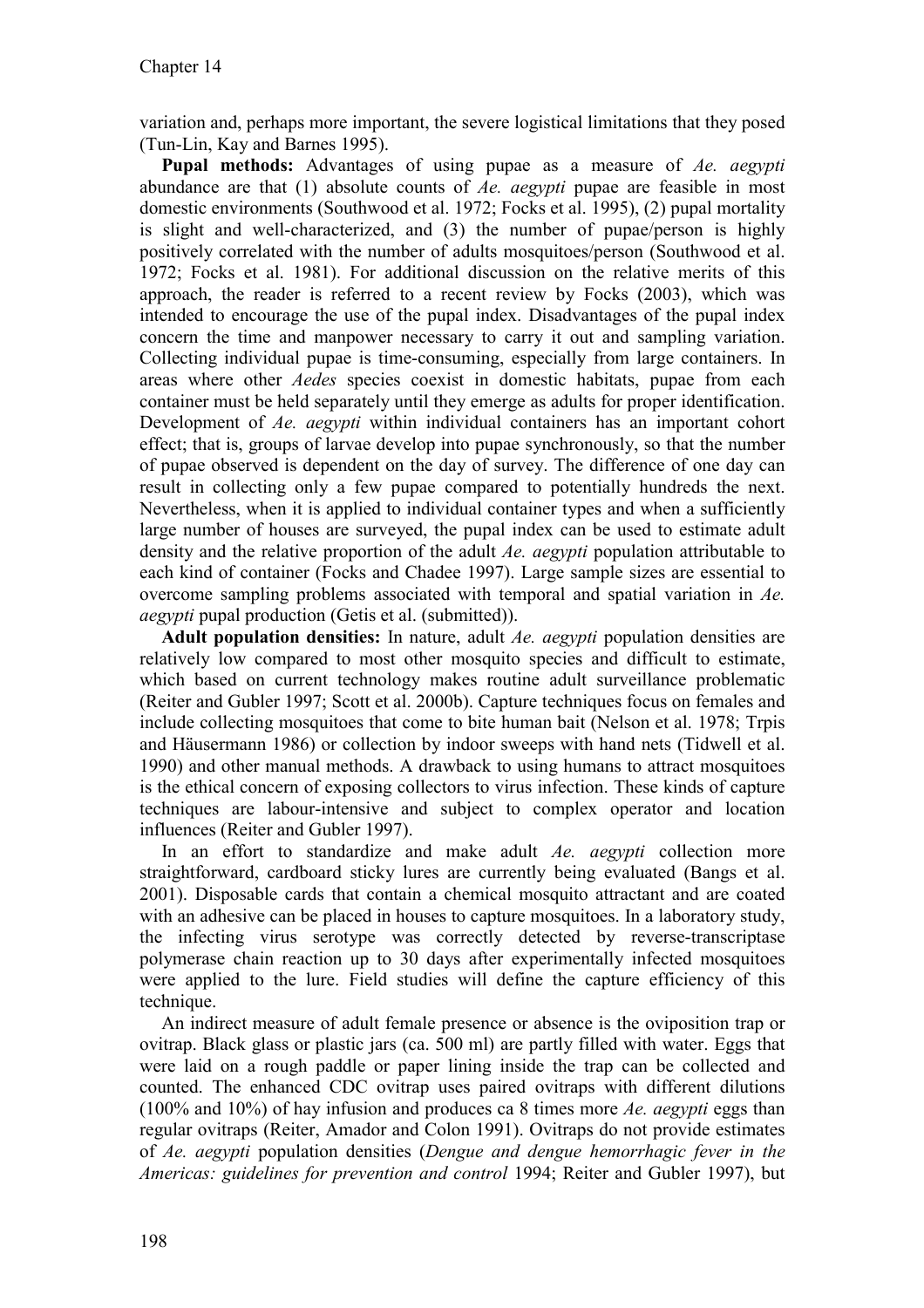variation and, perhaps more important, the severe logistical limitations that they posed (Tun-Lin, Kay and Barnes 1995).

**Pupal methods:** Advantages of using pupae as a measure of *Ae. aegypti* abundance are that (1) absolute counts of *Ae. aegypti* pupae are feasible in most domestic environments (Southwood et al. 1972; Focks et al. 1995), (2) pupal mortality is slight and well-characterized, and (3) the number of pupae/person is highly positively correlated with the number of adults mosquitoes/person (Southwood et al. 1972; Focks et al. 1981). For additional discussion on the relative merits of this approach, the reader is referred to a recent review by Focks (2003), which was intended to encourage the use of the pupal index. Disadvantages of the pupal index concern the time and manpower necessary to carry it out and sampling variation. Collecting individual pupae is time-consuming, especially from large containers. In areas where other *Aedes* species coexist in domestic habitats, pupae from each container must be held separately until they emerge as adults for proper identification. Development of *Ae. aegypti* within individual containers has an important cohort effect; that is, groups of larvae develop into pupae synchronously, so that the number of pupae observed is dependent on the day of survey. The difference of one day can result in collecting only a few pupae compared to potentially hundreds the next. Nevertheless, when it is applied to individual container types and when a sufficiently large number of houses are surveyed, the pupal index can be used to estimate adult density and the relative proportion of the adult *Ae. aegypti* population attributable to each kind of container (Focks and Chadee 1997). Large sample sizes are essential to overcome sampling problems associated with temporal and spatial variation in *Ae. aegypti* pupal production (Getis et al. (submitted)).

**Adult population densities:** In nature, adult *Ae. aegypti* population densities are relatively low compared to most other mosquito species and difficult to estimate, which based on current technology makes routine adult surveillance problematic (Reiter and Gubler 1997; Scott et al. 2000b). Capture techniques focus on females and include collecting mosquitoes that come to bite human bait (Nelson et al. 1978; Trpis and Häusermann 1986) or collection by indoor sweeps with hand nets (Tidwell et al. 1990) and other manual methods. A drawback to using humans to attract mosquitoes is the ethical concern of exposing collectors to virus infection. These kinds of capture techniques are labour-intensive and subject to complex operator and location influences (Reiter and Gubler 1997).

In an effort to standardize and make adult *Ae. aegypti* collection more straightforward, cardboard sticky lures are currently being evaluated (Bangs et al. 2001). Disposable cards that contain a chemical mosquito attractant and are coated with an adhesive can be placed in houses to capture mosquitoes. In a laboratory study, the infecting virus serotype was correctly detected by reverse-transcriptase polymerase chain reaction up to 30 days after experimentally infected mosquitoes were applied to the lure. Field studies will define the capture efficiency of this technique.

An indirect measure of adult female presence or absence is the oviposition trap or ovitrap. Black glass or plastic jars (ca. 500 ml) are partly filled with water. Eggs that were laid on a rough paddle or paper lining inside the trap can be collected and counted. The enhanced CDC ovitrap uses paired ovitraps with different dilutions (100% and 10%) of hay infusion and produces ca 8 times more *Ae. aegypti* eggs than regular ovitraps (Reiter, Amador and Colon 1991). Ovitraps do not provide estimates of *Ae. aegypti* population densities (*Dengue and dengue hemorrhagic fever in the Americas: guidelines for prevention and control* 1994; Reiter and Gubler 1997), but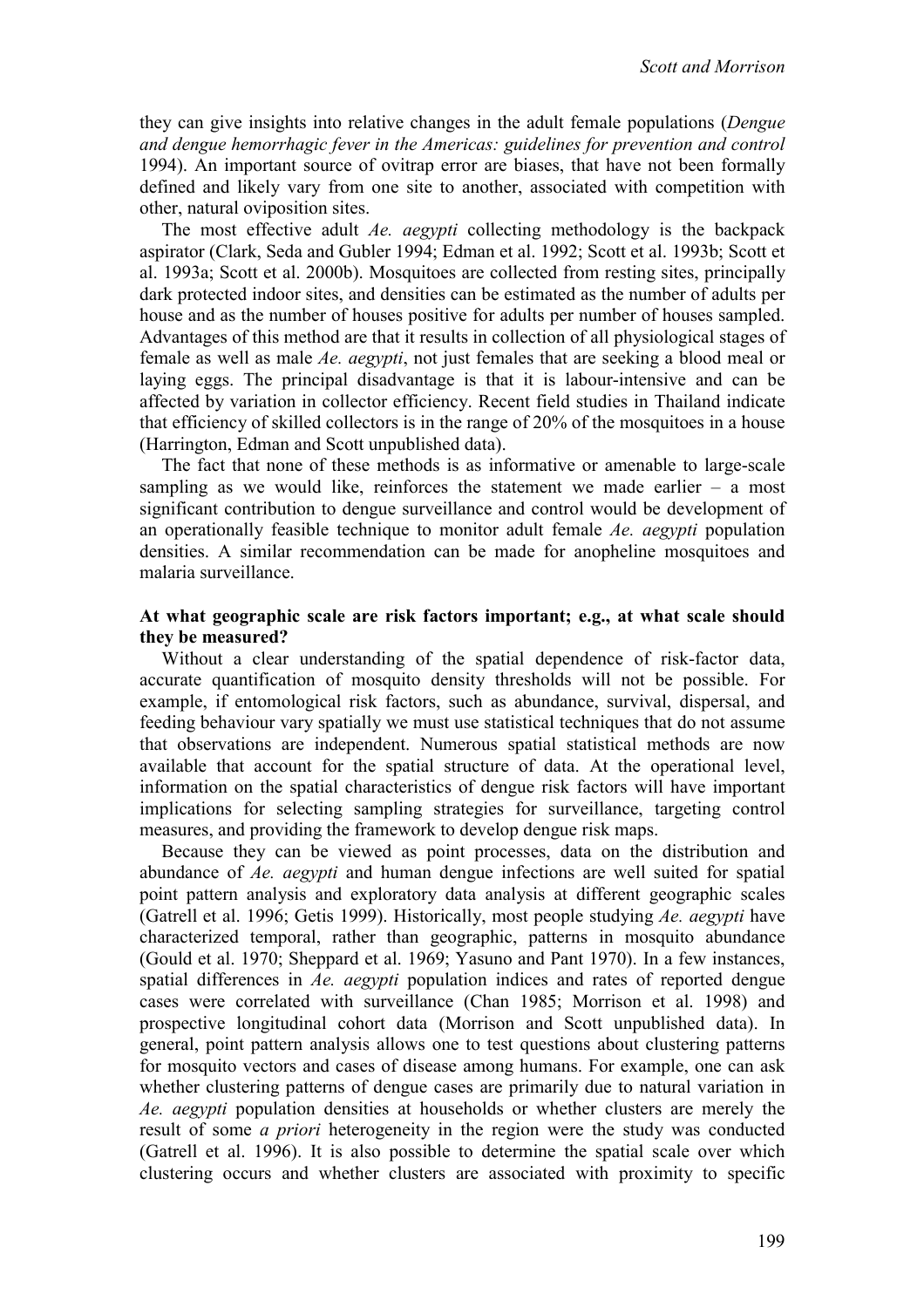they can give insights into relative changes in the adult female populations (*Dengue and dengue hemorrhagic fever in the Americas: guidelines for prevention and control* 1994). An important source of ovitrap error are biases, that have not been formally defined and likely vary from one site to another, associated with competition with other, natural oviposition sites.

The most effective adult *Ae. aegypti* collecting methodology is the backpack aspirator (Clark, Seda and Gubler 1994; Edman et al. 1992; Scott et al. 1993b; Scott et al. 1993a; Scott et al. 2000b). Mosquitoes are collected from resting sites, principally dark protected indoor sites, and densities can be estimated as the number of adults per house and as the number of houses positive for adults per number of houses sampled. Advantages of this method are that it results in collection of all physiological stages of female as well as male *Ae. aegypti*, not just females that are seeking a blood meal or laying eggs. The principal disadvantage is that it is labour-intensive and can be affected by variation in collector efficiency. Recent field studies in Thailand indicate that efficiency of skilled collectors is in the range of 20% of the mosquitoes in a house (Harrington, Edman and Scott unpublished data).

The fact that none of these methods is as informative or amenable to large-scale sampling as we would like, reinforces the statement we made earlier – a most significant contribution to dengue surveillance and control would be development of an operationally feasible technique to monitor adult female *Ae. aegypti* population densities. A similar recommendation can be made for anopheline mosquitoes and malaria surveillance.

#### **At what geographic scale are risk factors important; e.g., at what scale should they be measured?**

Without a clear understanding of the spatial dependence of risk-factor data, accurate quantification of mosquito density thresholds will not be possible. For example, if entomological risk factors, such as abundance, survival, dispersal, and feeding behaviour vary spatially we must use statistical techniques that do not assume that observations are independent. Numerous spatial statistical methods are now available that account for the spatial structure of data. At the operational level, information on the spatial characteristics of dengue risk factors will have important implications for selecting sampling strategies for surveillance, targeting control measures, and providing the framework to develop dengue risk maps.

Because they can be viewed as point processes, data on the distribution and abundance of *Ae. aegypti* and human dengue infections are well suited for spatial point pattern analysis and exploratory data analysis at different geographic scales (Gatrell et al. 1996; Getis 1999). Historically, most people studying *Ae. aegypti* have characterized temporal, rather than geographic, patterns in mosquito abundance (Gould et al. 1970; Sheppard et al. 1969; Yasuno and Pant 1970). In a few instances, spatial differences in *Ae. aegypti* population indices and rates of reported dengue cases were correlated with surveillance (Chan 1985; Morrison et al. 1998) and prospective longitudinal cohort data (Morrison and Scott unpublished data). In general, point pattern analysis allows one to test questions about clustering patterns for mosquito vectors and cases of disease among humans. For example, one can ask whether clustering patterns of dengue cases are primarily due to natural variation in *Ae. aegypti* population densities at households or whether clusters are merely the result of some *a priori* heterogeneity in the region were the study was conducted (Gatrell et al. 1996). It is also possible to determine the spatial scale over which clustering occurs and whether clusters are associated with proximity to specific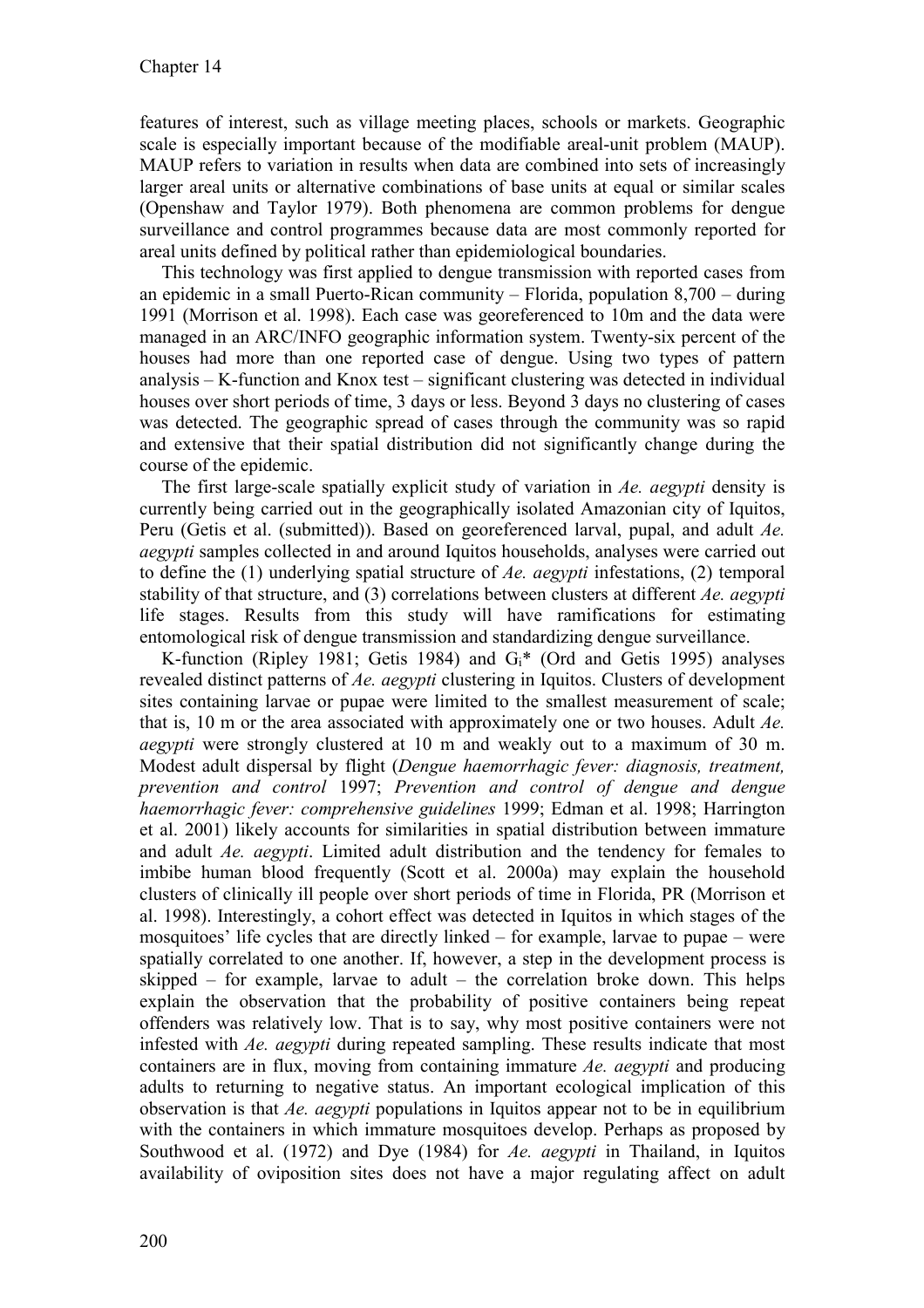features of interest, such as village meeting places, schools or markets. Geographic scale is especially important because of the modifiable areal-unit problem (MAUP). MAUP refers to variation in results when data are combined into sets of increasingly larger areal units or alternative combinations of base units at equal or similar scales (Openshaw and Taylor 1979). Both phenomena are common problems for dengue surveillance and control programmes because data are most commonly reported for areal units defined by political rather than epidemiological boundaries.

This technology was first applied to dengue transmission with reported cases from an epidemic in a small Puerto-Rican community – Florida, population 8,700 – during 1991 (Morrison et al. 1998). Each case was georeferenced to 10m and the data were managed in an ARC/INFO geographic information system. Twenty-six percent of the houses had more than one reported case of dengue. Using two types of pattern analysis – K-function and Knox test – significant clustering was detected in individual houses over short periods of time, 3 days or less. Beyond 3 days no clustering of cases was detected. The geographic spread of cases through the community was so rapid and extensive that their spatial distribution did not significantly change during the course of the epidemic.

The first large-scale spatially explicit study of variation in *Ae. aegypti* density is currently being carried out in the geographically isolated Amazonian city of Iquitos, Peru (Getis et al. (submitted)). Based on georeferenced larval, pupal, and adult *Ae. aegypti* samples collected in and around Iquitos households, analyses were carried out to define the (1) underlying spatial structure of *Ae. aegypti* infestations, (2) temporal stability of that structure, and (3) correlations between clusters at different *Ae. aegypti* life stages. Results from this study will have ramifications for estimating entomological risk of dengue transmission and standardizing dengue surveillance.

K-function (Ripley 1981; Getis 1984) and  $G_i^*$  (Ord and Getis 1995) analyses revealed distinct patterns of *Ae. aegypti* clustering in Iquitos. Clusters of development sites containing larvae or pupae were limited to the smallest measurement of scale; that is, 10 m or the area associated with approximately one or two houses. Adult *Ae. aegypti* were strongly clustered at 10 m and weakly out to a maximum of 30 m. Modest adult dispersal by flight (*Dengue haemorrhagic fever: diagnosis, treatment, prevention and control* 1997; *Prevention and control of dengue and dengue haemorrhagic fever: comprehensive guidelines* 1999; Edman et al. 1998; Harrington et al. 2001) likely accounts for similarities in spatial distribution between immature and adult *Ae. aegypti*. Limited adult distribution and the tendency for females to imbibe human blood frequently (Scott et al. 2000a) may explain the household clusters of clinically ill people over short periods of time in Florida, PR (Morrison et al. 1998). Interestingly, a cohort effect was detected in Iquitos in which stages of the mosquitoes' life cycles that are directly linked – for example, larvae to pupae – were spatially correlated to one another. If, however, a step in the development process is skipped – for example, larvae to adult – the correlation broke down. This helps explain the observation that the probability of positive containers being repeat offenders was relatively low. That is to say, why most positive containers were not infested with *Ae. aegypti* during repeated sampling. These results indicate that most containers are in flux, moving from containing immature *Ae. aegypti* and producing adults to returning to negative status. An important ecological implication of this observation is that *Ae. aegypti* populations in Iquitos appear not to be in equilibrium with the containers in which immature mosquitoes develop. Perhaps as proposed by Southwood et al. (1972) and Dye (1984) for *Ae. aegypti* in Thailand, in Iquitos availability of oviposition sites does not have a major regulating affect on adult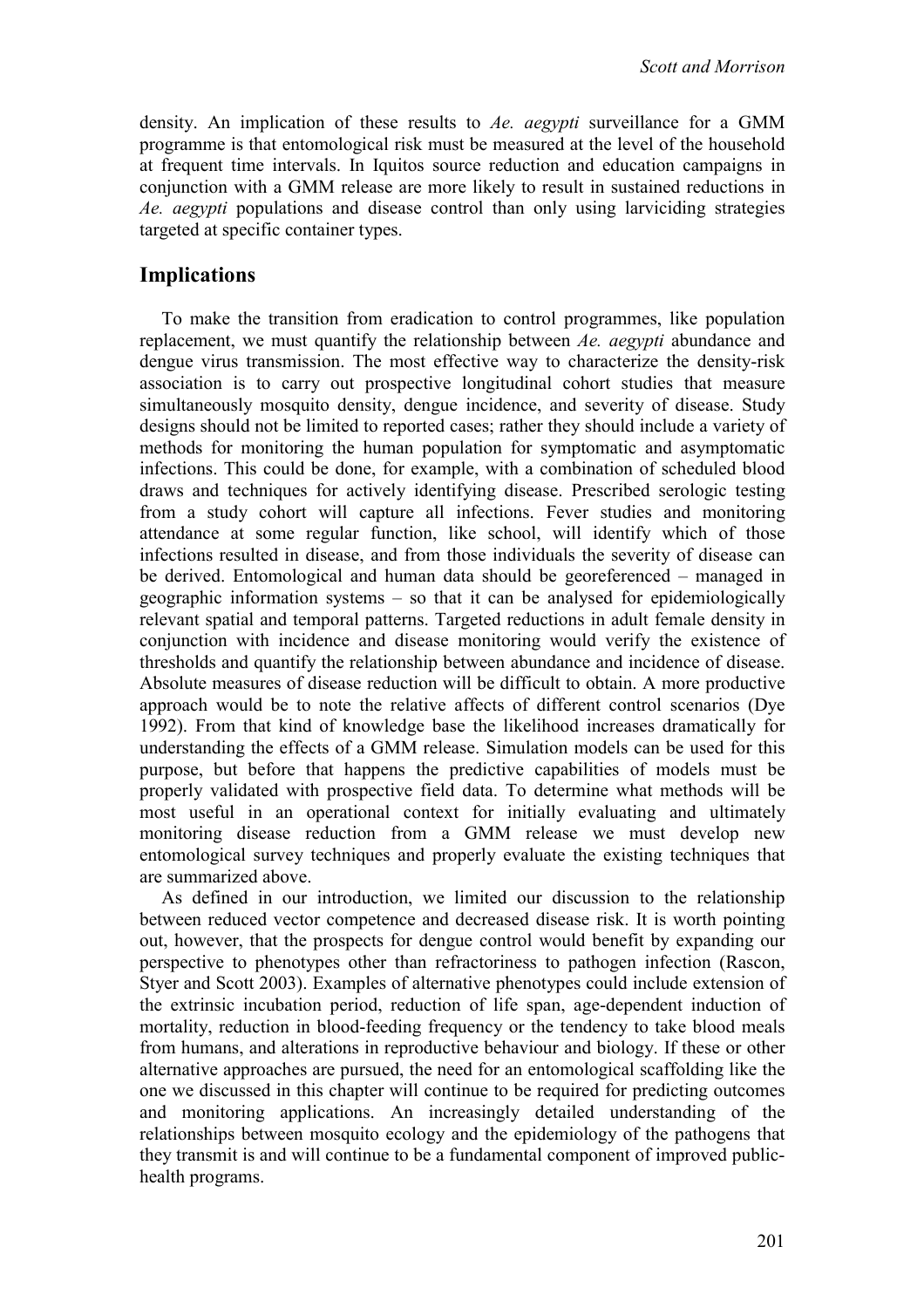density. An implication of these results to *Ae. aegypti* surveillance for a GMM programme is that entomological risk must be measured at the level of the household at frequent time intervals. In Iquitos source reduction and education campaigns in conjunction with a GMM release are more likely to result in sustained reductions in *Ae. aegypti* populations and disease control than only using larviciding strategies targeted at specific container types.

## **Implications**

To make the transition from eradication to control programmes, like population replacement, we must quantify the relationship between *Ae. aegypti* abundance and dengue virus transmission. The most effective way to characterize the density-risk association is to carry out prospective longitudinal cohort studies that measure simultaneously mosquito density, dengue incidence, and severity of disease. Study designs should not be limited to reported cases; rather they should include a variety of methods for monitoring the human population for symptomatic and asymptomatic infections. This could be done, for example, with a combination of scheduled blood draws and techniques for actively identifying disease. Prescribed serologic testing from a study cohort will capture all infections. Fever studies and monitoring attendance at some regular function, like school, will identify which of those infections resulted in disease, and from those individuals the severity of disease can be derived. Entomological and human data should be georeferenced – managed in geographic information systems – so that it can be analysed for epidemiologically relevant spatial and temporal patterns. Targeted reductions in adult female density in conjunction with incidence and disease monitoring would verify the existence of thresholds and quantify the relationship between abundance and incidence of disease. Absolute measures of disease reduction will be difficult to obtain. A more productive approach would be to note the relative affects of different control scenarios (Dye 1992). From that kind of knowledge base the likelihood increases dramatically for understanding the effects of a GMM release. Simulation models can be used for this purpose, but before that happens the predictive capabilities of models must be properly validated with prospective field data. To determine what methods will be most useful in an operational context for initially evaluating and ultimately monitoring disease reduction from a GMM release we must develop new entomological survey techniques and properly evaluate the existing techniques that are summarized above.

As defined in our introduction, we limited our discussion to the relationship between reduced vector competence and decreased disease risk. It is worth pointing out, however, that the prospects for dengue control would benefit by expanding our perspective to phenotypes other than refractoriness to pathogen infection (Rascon, Styer and Scott 2003). Examples of alternative phenotypes could include extension of the extrinsic incubation period, reduction of life span, age-dependent induction of mortality, reduction in blood-feeding frequency or the tendency to take blood meals from humans, and alterations in reproductive behaviour and biology. If these or other alternative approaches are pursued, the need for an entomological scaffolding like the one we discussed in this chapter will continue to be required for predicting outcomes and monitoring applications. An increasingly detailed understanding of the relationships between mosquito ecology and the epidemiology of the pathogens that they transmit is and will continue to be a fundamental component of improved publichealth programs.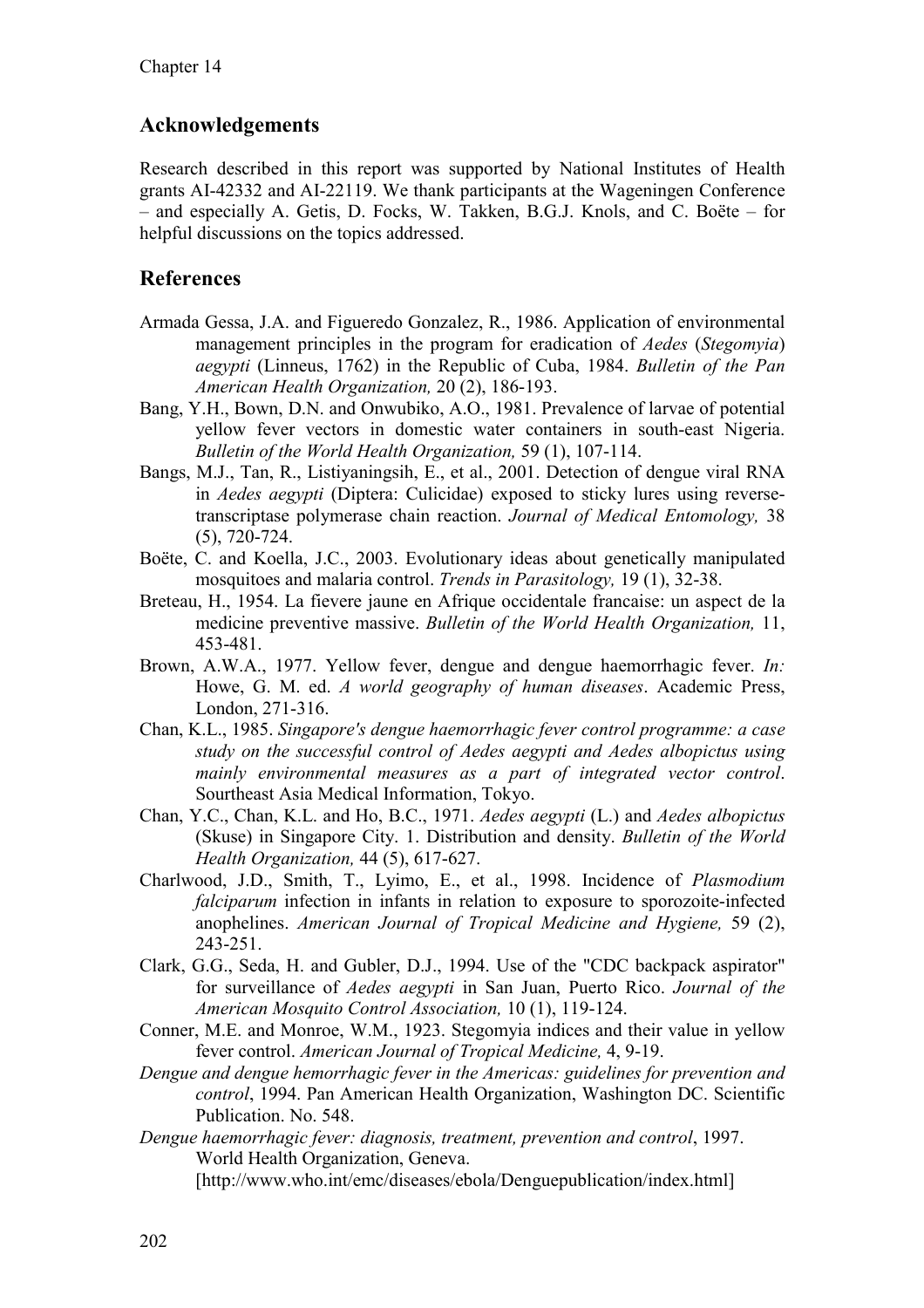## **Acknowledgements**

Research described in this report was supported by National Institutes of Health grants AI-42332 and AI-22119. We thank participants at the Wageningen Conference – and especially A. Getis, D. Focks, W. Takken, B.G.J. Knols, and C. Boëte – for helpful discussions on the topics addressed.

## **References**

- Armada Gessa, J.A. and Figueredo Gonzalez, R., 1986. Application of environmental management principles in the program for eradication of *Aedes* (*Stegomyia*) *aegypti* (Linneus, 1762) in the Republic of Cuba, 1984. *Bulletin of the Pan American Health Organization,* 20 (2), 186-193.
- Bang, Y.H., Bown, D.N. and Onwubiko, A.O., 1981. Prevalence of larvae of potential yellow fever vectors in domestic water containers in south-east Nigeria. *Bulletin of the World Health Organization,* 59 (1), 107-114.
- Bangs, M.J., Tan, R., Listiyaningsih, E., et al., 2001. Detection of dengue viral RNA in *Aedes aegypti* (Diptera: Culicidae) exposed to sticky lures using reversetranscriptase polymerase chain reaction. *Journal of Medical Entomology,* 38 (5), 720-724.
- Boëte, C. and Koella, J.C., 2003. Evolutionary ideas about genetically manipulated mosquitoes and malaria control. *Trends in Parasitology,* 19 (1), 32-38.
- Breteau, H., 1954. La fievere jaune en Afrique occidentale francaise: un aspect de la medicine preventive massive. *Bulletin of the World Health Organization,* 11, 453-481.
- Brown, A.W.A., 1977. Yellow fever, dengue and dengue haemorrhagic fever. *In:* Howe, G. M. ed. *A world geography of human diseases*. Academic Press, London, 271-316.
- Chan, K.L., 1985. *Singapore's dengue haemorrhagic fever control programme: a case study on the successful control of Aedes aegypti and Aedes albopictus using mainly environmental measures as a part of integrated vector control*. Sourtheast Asia Medical Information, Tokyo.
- Chan, Y.C., Chan, K.L. and Ho, B.C., 1971. *Aedes aegypti* (L.) and *Aedes albopictus* (Skuse) in Singapore City. 1. Distribution and density. *Bulletin of the World Health Organization,* 44 (5), 617-627.
- Charlwood, J.D., Smith, T., Lyimo, E., et al., 1998. Incidence of *Plasmodium falciparum* infection in infants in relation to exposure to sporozoite-infected anophelines. *American Journal of Tropical Medicine and Hygiene,* 59 (2), 243-251.
- Clark, G.G., Seda, H. and Gubler, D.J., 1994. Use of the "CDC backpack aspirator" for surveillance of *Aedes aegypti* in San Juan, Puerto Rico. *Journal of the American Mosquito Control Association,* 10 (1), 119-124.
- Conner, M.E. and Monroe, W.M., 1923. Stegomyia indices and their value in yellow fever control. *American Journal of Tropical Medicine,* 4, 9-19.
- *Dengue and dengue hemorrhagic fever in the Americas: guidelines for prevention and control*, 1994. Pan American Health Organization, Washington DC. Scientific Publication. No. 548.

*Dengue haemorrhagic fever: diagnosis, treatment, prevention and control*, 1997. World Health Organization, Geneva. [http://www.who.int/emc/diseases/ebola/Denguepublication/index.html]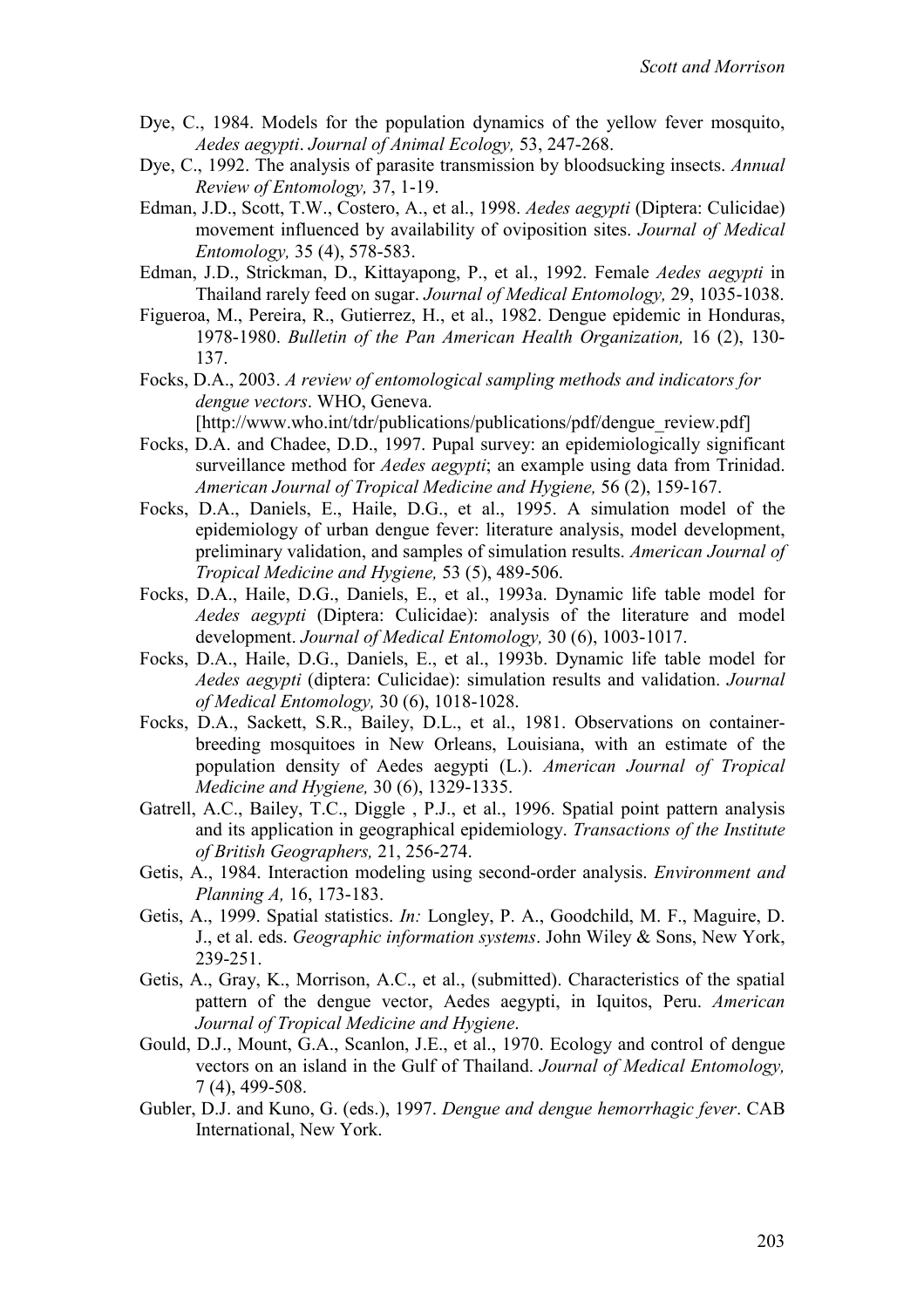- Dye, C., 1984. Models for the population dynamics of the yellow fever mosquito, *Aedes aegypti*. *Journal of Animal Ecology,* 53, 247-268.
- Dye, C., 1992. The analysis of parasite transmission by bloodsucking insects. *Annual Review of Entomology,* 37, 1-19.
- Edman, J.D., Scott, T.W., Costero, A., et al., 1998. *Aedes aegypti* (Diptera: Culicidae) movement influenced by availability of oviposition sites. *Journal of Medical Entomology,* 35 (4), 578-583.
- Edman, J.D., Strickman, D., Kittayapong, P., et al., 1992. Female *Aedes aegypti* in Thailand rarely feed on sugar. *Journal of Medical Entomology,* 29, 1035-1038.
- Figueroa, M., Pereira, R., Gutierrez, H., et al., 1982. Dengue epidemic in Honduras, 1978-1980. *Bulletin of the Pan American Health Organization,* 16 (2), 130- 137.
- Focks, D.A., 2003. *A review of entomological sampling methods and indicators for dengue vectors*. WHO, Geneva.

[http://www.who.int/tdr/publications/publications/pdf/dengue\_review.pdf]

- Focks, D.A. and Chadee, D.D., 1997. Pupal survey: an epidemiologically significant surveillance method for *Aedes aegypti*; an example using data from Trinidad. *American Journal of Tropical Medicine and Hygiene,* 56 (2), 159-167.
- Focks, D.A., Daniels, E., Haile, D.G., et al., 1995. A simulation model of the epidemiology of urban dengue fever: literature analysis, model development, preliminary validation, and samples of simulation results. *American Journal of Tropical Medicine and Hygiene,* 53 (5), 489-506.
- Focks, D.A., Haile, D.G., Daniels, E., et al., 1993a. Dynamic life table model for *Aedes aegypti* (Diptera: Culicidae): analysis of the literature and model development. *Journal of Medical Entomology,* 30 (6), 1003-1017.
- Focks, D.A., Haile, D.G., Daniels, E., et al., 1993b. Dynamic life table model for *Aedes aegypti* (diptera: Culicidae): simulation results and validation. *Journal of Medical Entomology,* 30 (6), 1018-1028.
- Focks, D.A., Sackett, S.R., Bailey, D.L., et al., 1981. Observations on containerbreeding mosquitoes in New Orleans, Louisiana, with an estimate of the population density of Aedes aegypti (L.). *American Journal of Tropical Medicine and Hygiene,* 30 (6), 1329-1335.
- Gatrell, A.C., Bailey, T.C., Diggle , P.J., et al., 1996. Spatial point pattern analysis and its application in geographical epidemiology. *Transactions of the Institute of British Geographers,* 21, 256-274.
- Getis, A., 1984. Interaction modeling using second-order analysis. *Environment and Planning A,* 16, 173-183.
- Getis, A., 1999. Spatial statistics. *In:* Longley, P. A., Goodchild, M. F., Maguire, D. J., et al. eds. *Geographic information systems*. John Wiley & Sons, New York, 239-251.
- Getis, A., Gray, K., Morrison, A.C., et al., (submitted). Characteristics of the spatial pattern of the dengue vector, Aedes aegypti, in Iquitos, Peru. *American Journal of Tropical Medicine and Hygiene*.
- Gould, D.J., Mount, G.A., Scanlon, J.E., et al., 1970. Ecology and control of dengue vectors on an island in the Gulf of Thailand. *Journal of Medical Entomology,* 7 (4), 499-508.
- Gubler, D.J. and Kuno, G. (eds.), 1997. *Dengue and dengue hemorrhagic fever*. CAB International, New York.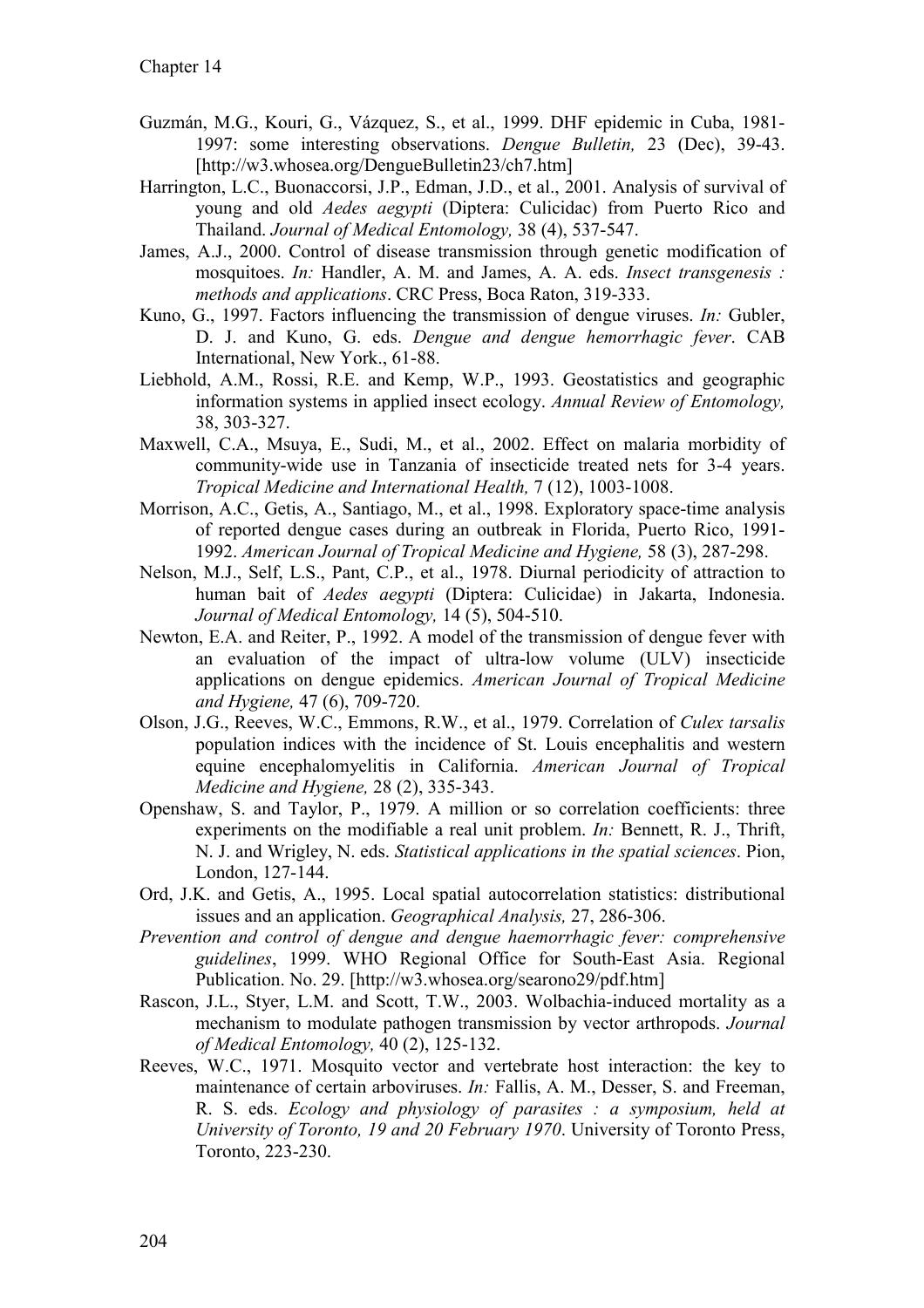- Guzmán, M.G., Kouri, G., Vázquez, S., et al., 1999. DHF epidemic in Cuba, 1981- 1997: some interesting observations. *Dengue Bulletin,* 23 (Dec), 39-43. [http://w3.whosea.org/DengueBulletin23/ch7.htm]
- Harrington, L.C., Buonaccorsi, J.P., Edman, J.D., et al., 2001. Analysis of survival of young and old *Aedes aegypti* (Diptera: Culicidac) from Puerto Rico and Thailand. *Journal of Medical Entomology,* 38 (4), 537-547.
- James, A.J., 2000. Control of disease transmission through genetic modification of mosquitoes. *In:* Handler, A. M. and James, A. A. eds. *Insect transgenesis : methods and applications*. CRC Press, Boca Raton, 319-333.
- Kuno, G., 1997. Factors influencing the transmission of dengue viruses. *In:* Gubler, D. J. and Kuno, G. eds. *Dengue and dengue hemorrhagic fever*. CAB International, New York., 61-88.
- Liebhold, A.M., Rossi, R.E. and Kemp, W.P., 1993. Geostatistics and geographic information systems in applied insect ecology. *Annual Review of Entomology,* 38, 303-327.
- Maxwell, C.A., Msuya, E., Sudi, M., et al., 2002. Effect on malaria morbidity of community-wide use in Tanzania of insecticide treated nets for 3-4 years. *Tropical Medicine and International Health,* 7 (12), 1003-1008.
- Morrison, A.C., Getis, A., Santiago, M., et al., 1998. Exploratory space-time analysis of reported dengue cases during an outbreak in Florida, Puerto Rico, 1991- 1992. *American Journal of Tropical Medicine and Hygiene,* 58 (3), 287-298.
- Nelson, M.J., Self, L.S., Pant, C.P., et al., 1978. Diurnal periodicity of attraction to human bait of *Aedes aegypti* (Diptera: Culicidae) in Jakarta, Indonesia. *Journal of Medical Entomology,* 14 (5), 504-510.
- Newton, E.A. and Reiter, P., 1992. A model of the transmission of dengue fever with an evaluation of the impact of ultra-low volume (ULV) insecticide applications on dengue epidemics. *American Journal of Tropical Medicine and Hygiene,* 47 (6), 709-720.
- Olson, J.G., Reeves, W.C., Emmons, R.W., et al., 1979. Correlation of *Culex tarsalis* population indices with the incidence of St. Louis encephalitis and western equine encephalomyelitis in California. *American Journal of Tropical Medicine and Hygiene,* 28 (2), 335-343.
- Openshaw, S. and Taylor, P., 1979. A million or so correlation coefficients: three experiments on the modifiable a real unit problem. *In:* Bennett, R. J., Thrift, N. J. and Wrigley, N. eds. *Statistical applications in the spatial sciences*. Pion, London, 127-144.
- Ord, J.K. and Getis, A., 1995. Local spatial autocorrelation statistics: distributional issues and an application. *Geographical Analysis,* 27, 286-306.
- *Prevention and control of dengue and dengue haemorrhagic fever: comprehensive guidelines*, 1999. WHO Regional Office for South-East Asia. Regional Publication. No. 29. [http://w3.whosea.org/searono29/pdf.htm]
- Rascon, J.L., Styer, L.M. and Scott, T.W., 2003. Wolbachia-induced mortality as a mechanism to modulate pathogen transmission by vector arthropods. *Journal of Medical Entomology,* 40 (2), 125-132.
- Reeves, W.C., 1971. Mosquito vector and vertebrate host interaction: the key to maintenance of certain arboviruses. *In:* Fallis, A. M., Desser, S. and Freeman, R. S. eds. *Ecology and physiology of parasites : a symposium, held at University of Toronto, 19 and 20 February 1970*. University of Toronto Press, Toronto, 223-230.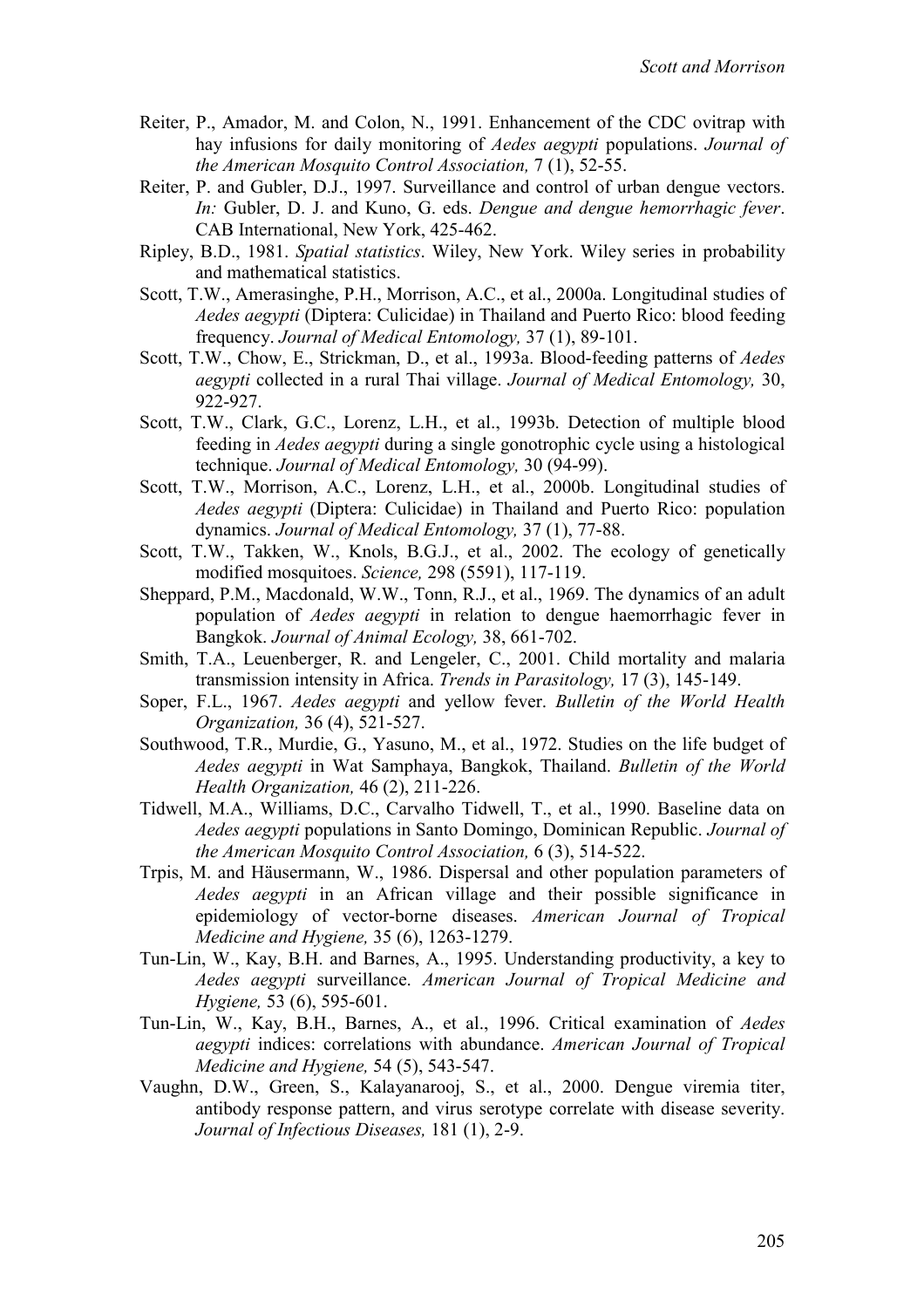- Reiter, P., Amador, M. and Colon, N., 1991. Enhancement of the CDC ovitrap with hay infusions for daily monitoring of *Aedes aegypti* populations. *Journal of the American Mosquito Control Association,* 7 (1), 52-55.
- Reiter, P. and Gubler, D.J., 1997. Surveillance and control of urban dengue vectors. *In:* Gubler, D. J. and Kuno, G. eds. *Dengue and dengue hemorrhagic fever*. CAB International, New York, 425-462.
- Ripley, B.D., 1981. *Spatial statistics*. Wiley, New York. Wiley series in probability and mathematical statistics.
- Scott, T.W., Amerasinghe, P.H., Morrison, A.C., et al., 2000a. Longitudinal studies of *Aedes aegypti* (Diptera: Culicidae) in Thailand and Puerto Rico: blood feeding frequency. *Journal of Medical Entomology,* 37 (1), 89-101.
- Scott, T.W., Chow, E., Strickman, D., et al., 1993a. Blood-feeding patterns of *Aedes aegypti* collected in a rural Thai village. *Journal of Medical Entomology,* 30, 922-927.
- Scott, T.W., Clark, G.C., Lorenz, L.H., et al., 1993b. Detection of multiple blood feeding in *Aedes aegypti* during a single gonotrophic cycle using a histological technique. *Journal of Medical Entomology,* 30 (94-99).
- Scott, T.W., Morrison, A.C., Lorenz, L.H., et al., 2000b. Longitudinal studies of *Aedes aegypti* (Diptera: Culicidae) in Thailand and Puerto Rico: population dynamics. *Journal of Medical Entomology,* 37 (1), 77-88.
- Scott, T.W., Takken, W., Knols, B.G.J., et al., 2002. The ecology of genetically modified mosquitoes. *Science,* 298 (5591), 117-119.
- Sheppard, P.M., Macdonald, W.W., Tonn, R.J., et al., 1969. The dynamics of an adult population of *Aedes aegypti* in relation to dengue haemorrhagic fever in Bangkok. *Journal of Animal Ecology,* 38, 661-702.
- Smith, T.A., Leuenberger, R. and Lengeler, C., 2001. Child mortality and malaria transmission intensity in Africa. *Trends in Parasitology,* 17 (3), 145-149.
- Soper, F.L., 1967. *Aedes aegypti* and yellow fever. *Bulletin of the World Health Organization,* 36 (4), 521-527.
- Southwood, T.R., Murdie, G., Yasuno, M., et al., 1972. Studies on the life budget of *Aedes aegypti* in Wat Samphaya, Bangkok, Thailand. *Bulletin of the World Health Organization,* 46 (2), 211-226.
- Tidwell, M.A., Williams, D.C., Carvalho Tidwell, T., et al., 1990. Baseline data on *Aedes aegypti* populations in Santo Domingo, Dominican Republic. *Journal of the American Mosquito Control Association,* 6 (3), 514-522.
- Trpis, M. and Häusermann, W., 1986. Dispersal and other population parameters of *Aedes aegypti* in an African village and their possible significance in epidemiology of vector-borne diseases. *American Journal of Tropical Medicine and Hygiene,* 35 (6), 1263-1279.
- Tun-Lin, W., Kay, B.H. and Barnes, A., 1995. Understanding productivity, a key to *Aedes aegypti* surveillance. *American Journal of Tropical Medicine and Hygiene,* 53 (6), 595-601.
- Tun-Lin, W., Kay, B.H., Barnes, A., et al., 1996. Critical examination of *Aedes aegypti* indices: correlations with abundance. *American Journal of Tropical Medicine and Hygiene,* 54 (5), 543-547.
- Vaughn, D.W., Green, S., Kalayanarooj, S., et al., 2000. Dengue viremia titer, antibody response pattern, and virus serotype correlate with disease severity. *Journal of Infectious Diseases,* 181 (1), 2-9.